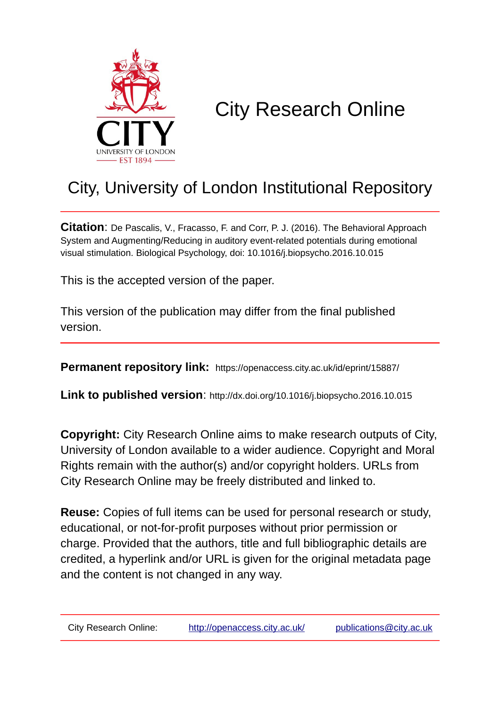

# City Research Online

# City, University of London Institutional Repository

**Citation**: De Pascalis, V., Fracasso, F. and Corr, P. J. (2016). The Behavioral Approach System and Augmenting/Reducing in auditory event-related potentials during emotional visual stimulation. Biological Psychology, doi: 10.1016/j.biopsycho.2016.10.015

This is the accepted version of the paper.

This version of the publication may differ from the final published version.

**Permanent repository link:** https://openaccess.city.ac.uk/id/eprint/15887/

**Link to published version**: http://dx.doi.org/10.1016/j.biopsycho.2016.10.015

**Copyright:** City Research Online aims to make research outputs of City, University of London available to a wider audience. Copyright and Moral Rights remain with the author(s) and/or copyright holders. URLs from City Research Online may be freely distributed and linked to.

**Reuse:** Copies of full items can be used for personal research or study, educational, or not-for-profit purposes without prior permission or charge. Provided that the authors, title and full bibliographic details are credited, a hyperlink and/or URL is given for the original metadata page and the content is not changed in any way.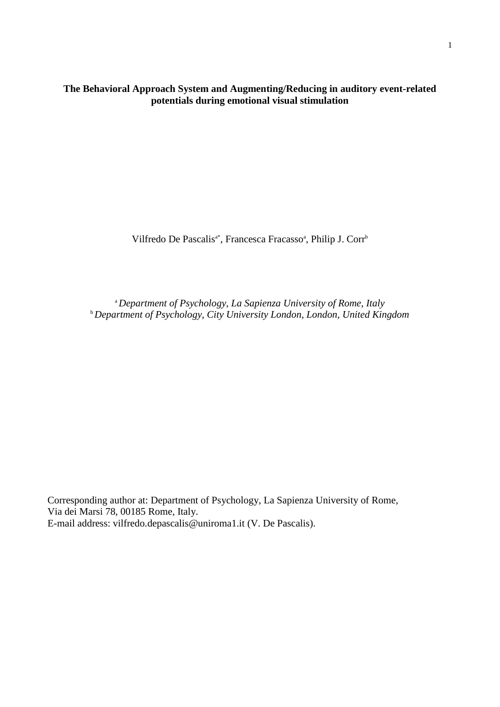**The Behavioral Approach System and Augmenting/Reducing in auditory event-related potentials during emotional visual stimulation**

Vilfredo De Pascalis<sup>a\*</sup>, Francesca Fracasso<sup>a</sup>, Philip J. Corr<sup>b</sup>

<sup>a</sup>*Department of Psychology, La Sapienza University of Rome, Italy* <sup>b</sup>*Department of Psychology, City University London, London, United Kingdom*

Corresponding author at: Department of Psychology, La Sapienza University of Rome, Via dei Marsi 78, 00185 Rome, Italy. E-mail address: vilfredo.depascalis@uniroma1.it (V. De Pascalis).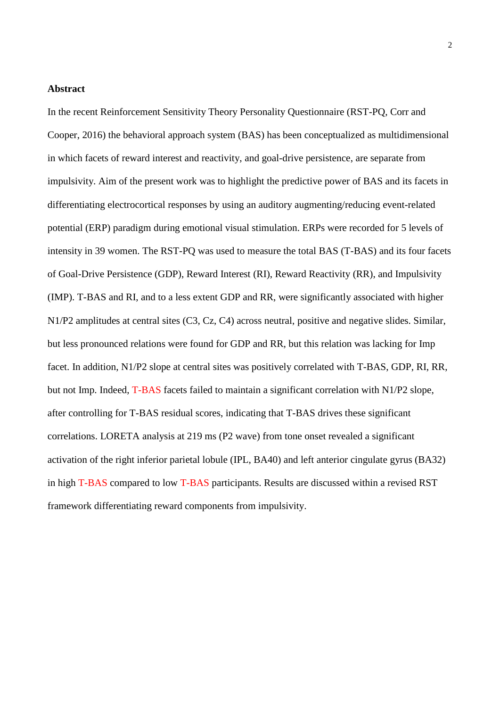# **Abstract**

In the recent Reinforcement Sensitivity Theory Personality Questionnaire (RST-PQ, Corr and Cooper, 2016) the behavioral approach system (BAS) has been conceptualized as multidimensional in which facets of reward interest and reactivity, and goal-drive persistence, are separate from impulsivity. Aim of the present work was to highlight the predictive power of BAS and its facets in differentiating electrocortical responses by using an auditory augmenting/reducing event-related potential (ERP) paradigm during emotional visual stimulation. ERPs were recorded for 5 levels of intensity in 39 women. The RST-PQ was used to measure the total BAS (T-BAS) and its four facets of Goal-Drive Persistence (GDP), Reward Interest (RI), Reward Reactivity (RR), and Impulsivity (IMP). T-BAS and RI, and to a less extent GDP and RR, were significantly associated with higher N1/P2 amplitudes at central sites (C3, Cz, C4) across neutral, positive and negative slides. Similar, but less pronounced relations were found for GDP and RR, but this relation was lacking for Imp facet. In addition, N1/P2 slope at central sites was positively correlated with T-BAS, GDP, RI, RR, but not Imp. Indeed, T-BAS facets failed to maintain a significant correlation with N1/P2 slope, after controlling for T-BAS residual scores, indicating that T-BAS drives these significant correlations. LORETA analysis at 219 ms (P2 wave) from tone onset revealed a significant activation of the right inferior parietal lobule (IPL, BA40) and left anterior cingulate gyrus (BA32) in high T-BAS compared to low T-BAS participants. Results are discussed within a revised RST framework differentiating reward components from impulsivity.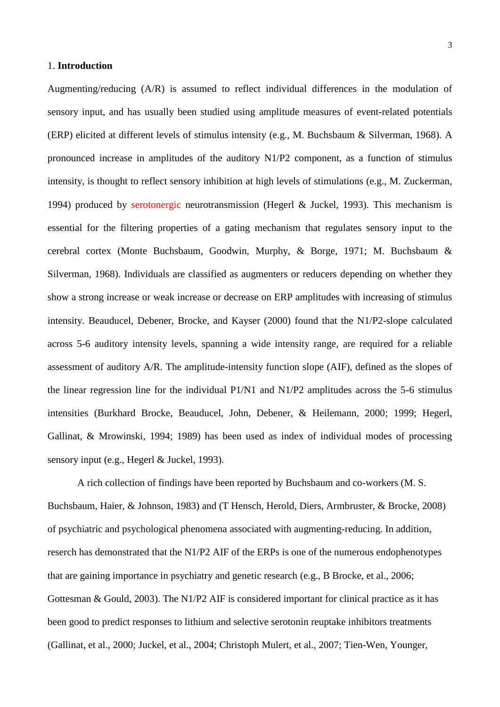# 1. **Introduction**

Augmenting/reducing (A/R) is assumed to reflect individual differences in the modulation of sensory input, and has usually been studied using amplitude measures of event-related potentials (ERP) elicited at different levels of stimulus intensity [\(e.g., M. Buchsbaum & Silverman, 1968\)](#page-28-0). A pronounced increase in amplitudes of the auditory N1/P2 component, as a function of stimulus intensity, is thought to reflect sensory inhibition at high levels of stimulations [\(e.g., M. Zuckerman,](#page-32-0)  [1994\)](#page-32-0) produced by serotonergic neurotransmission [\(Hegerl & Juckel, 1993\)](#page-30-0). This mechanism is essential for the filtering properties of a gating mechanism that regulates sensory input to the cerebral cortex [\(Monte Buchsbaum, Goodwin, Murphy, & Borge, 1971;](#page-28-1) [M. Buchsbaum &](#page-28-0)  [Silverman, 1968\)](#page-28-0). Individuals are classified as augmenters or reducers depending on whether they show a strong increase or weak increase or decrease on ERP amplitudes with increasing of stimulus intensity. [Beauducel, Debener, Brocke, and Kayser \(2000\)](#page-28-2) found that the N1/P2-slope calculated across 5-6 auditory intensity levels, spanning a wide intensity range, are required for a reliable assessment of auditory A/R. The amplitude-intensity function slope (AIF), defined as the slopes of the linear regression line for the individual P1/N1 and N1/P2 amplitudes across the 5-6 stimulus intensities [\(Burkhard Brocke, Beauducel, John, Debener, & Heilemann, 2000;](#page-28-3) [1999;](#page-28-4) [Hegerl,](#page-30-1)  [Gallinat, & Mrowinski, 1994;](#page-30-1) [1989\)](#page-30-2) has been used as index of individual modes of processing sensory input [\(e.g., Hegerl & Juckel, 1993\)](#page-30-0).

A rich collection of findings have been reported by Buchsbaum and co-workers [\(M. S.](#page-28-5)  [Buchsbaum, Haier, & Johnson, 1983\)](#page-28-5) and [\(T Hensch, Herold, Diers, Armbruster, & Brocke, 2008\)](#page-30-3) of psychiatric and psychological phenomena associated with augmenting-reducing. In addition, reserch has demonstrated that the N1/P2 AIF of the ERPs is one of the numerous endophenotypes that are gaining importance in psychiatry and genetic research (e.g., [B Brocke, et al., 2006;](#page-28-6) [Gottesman & Gould, 2003\)](#page-29-0). The N1/P2 AIF is considered important for clinical practice as it has been good to predict responses to lithium and selective serotonin reuptake inhibitors treatments [\(Gallinat, et al., 2000;](#page-29-1) [Juckel, et al., 2004;](#page-30-4) [Christoph Mulert, et al., 2007;](#page-31-0) [Tien-Wen, Younger,](#page-32-1)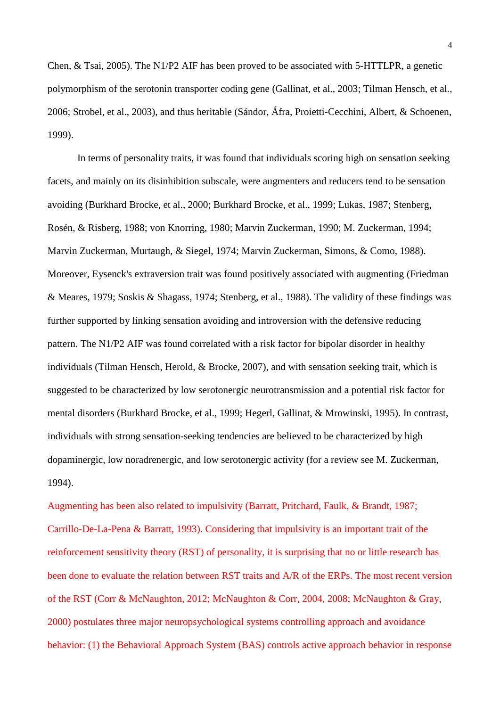[Chen, & Tsai, 2005\)](#page-32-1). The N1/P2 AIF has been proved to be associated with 5-HTTLPR, a genetic polymorphism of the serotonin transporter coding gene [\(Gallinat, et al., 2003;](#page-29-2) [Tilman Hensch, et al.,](#page-30-5)  [2006;](#page-30-5) [Strobel, et al., 2003\)](#page-32-2), and thus heritable [\(Sándor, Áfra, Proietti-Cecchini, Albert, & Schoenen,](#page-31-1)  [1999\)](#page-31-1).

In terms of personality traits, it was found that individuals scoring high on sensation seeking facets, and mainly on its disinhibition subscale, were augmenters and reducers tend to be sensation avoiding [\(Burkhard Brocke, et al., 2000;](#page-28-3) [Burkhard Brocke, et al., 1999;](#page-28-4) [Lukas, 1987;](#page-30-6) [Stenberg,](#page-32-3)  [Rosén, & Risberg, 1988;](#page-32-3) [von Knorring, 1980;](#page-32-4) [Marvin Zuckerman, 1990;](#page-32-5) [M. Zuckerman, 1994;](#page-32-0) [Marvin Zuckerman, Murtaugh, & Siegel, 1974;](#page-32-6) [Marvin Zuckerman, Simons, & Como, 1988\)](#page-32-7). Moreover, Eysenck's extraversion trait was found positively associated with augmenting [\(Friedman](#page-29-3)  [& Meares, 1979;](#page-29-3) [Soskis & Shagass, 1974;](#page-32-8) [Stenberg, et al., 1988\)](#page-32-3). The validity of these findings was further supported by linking sensation avoiding and introversion with the defensive reducing pattern. The N1/P2 AIF was found correlated with a risk factor for bipolar disorder in healthy individuals [\(Tilman Hensch, Herold, & Brocke, 2007\)](#page-30-7), and with sensation seeking trait, which is suggested to be characterized by low serotonergic neurotransmission and a potential risk factor for mental disorders [\(Burkhard Brocke, et al., 1999;](#page-28-4) [Hegerl, Gallinat, & Mrowinski, 1995\)](#page-30-8). In contrast, individuals with strong sensation-seeking tendencies are believed to be characterized by high dopaminergic, low noradrenergic, and low serotonergic activity [\(for a review see M. Zuckerman,](#page-32-0)  [1994\)](#page-32-0).

Augmenting has been also related to impulsivity [\(Barratt, Pritchard, Faulk, & Brandt, 1987;](#page-28-7) [Carrillo-De-La-Pena & Barratt, 1993\)](#page-28-8). Considering that impulsivity is an important trait of the reinforcement sensitivity theory (RST) of personality, it is surprising that no or little research has been done to evaluate the relation between RST traits and A/R of the ERPs. The most recent version of the RST [\(Corr & McNaughton, 2012;](#page-29-4) [McNaughton & Corr, 2004,](#page-30-9) [2008;](#page-30-10) [McNaughton & Gray,](#page-30-11)  [2000\)](#page-30-11) postulates three major neuropsychological systems controlling approach and avoidance behavior: (1) the Behavioral Approach System (BAS) controls active approach behavior in response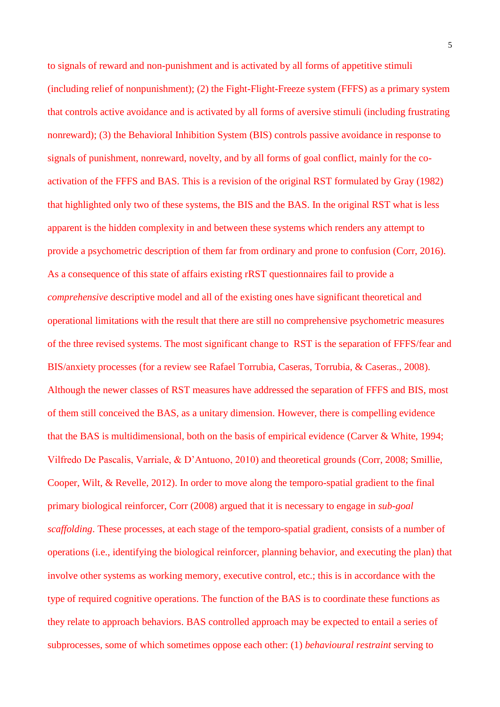to signals of reward and non-punishment and is activated by all forms of appetitive stimuli (including relief of nonpunishment); (2) the Fight-Flight-Freeze system (FFFS) as a primary system that controls active avoidance and is activated by all forms of aversive stimuli (including frustrating nonreward); (3) the Behavioral Inhibition System (BIS) controls passive avoidance in response to signals of punishment, nonreward, novelty, and by all forms of goal conflict, mainly for the coactivation of the FFFS and BAS. This is a revision of the original RST formulated by [Gray \(1982\)](#page-29-5) that highlighted only two of these systems, the BIS and the BAS. In the original RST what is less apparent is the hidden complexity in and between these systems which renders any attempt to provide a psychometric description of them far from ordinary and prone to confusion [\(Corr, 2016\)](#page-29-6). As a consequence of this state of affairs existing rRST questionnaires fail to provide a *comprehensive* descriptive model and all of the existing ones have significant theoretical and operational limitations with the result that there are still no comprehensive psychometric measures of the three revised systems. The most significant change to RST is the separation of FFFS/fear and BIS/anxiety processes [\(for a review see Rafael Torrubia, Caseras, Torrubia, & Caseras., 2008\)](#page-31-2). Although the newer classes of RST measures have addressed the separation of FFFS and BIS, most of them still conceived the BAS, as a unitary dimension. However, there is compelling evidence that the BAS is multidimensional, both on the basis of empirical evidence [\(Carver & White, 1994;](#page-28-9) [Vilfredo De Pascalis, Varriale, & D'Antuono, 2010\)](#page-29-7) and theoretical grounds [\(Corr,](#page-29-8) 2008; [Smillie,](#page-31-3)  [Cooper, Wilt, & Revelle, 2012\)](#page-31-3). In order to move along the temporo-spatial gradient to the final primary biological reinforcer, [Corr \(2008\)](#page-29-8) argued that it is necessary to engage in *sub-goal scaffolding*. These processes, at each stage of the temporo-spatial gradient, consists of a number of operations (i.e., identifying the biological reinforcer, planning behavior, and executing the plan) that involve other systems as working memory, executive control, etc.; this is in accordance with the type of required cognitive operations. The function of the BAS is to coordinate these functions as they relate to approach behaviors. BAS controlled approach may be expected to entail a series of subprocesses, some of which sometimes oppose each other: (1) *behavioural restraint* serving to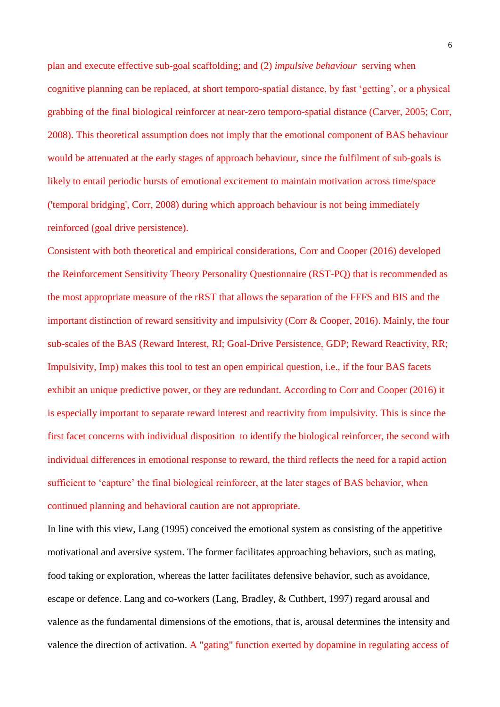plan and execute effective sub-goal scaffolding; and (2) *impulsive behaviour* serving when cognitive planning can be replaced, at short temporo-spatial distance, by fast 'getting', or a physical grabbing of the final biological reinforcer at near-zero temporo-spatial distance [\(Carver, 2005;](#page-28-10) [Corr,](#page-29-8)  [2008\)](#page-29-8). This theoretical assumption does not imply that the emotional component of BAS behaviour would be attenuated at the early stages of approach behaviour, since the fulfilment of sub-goals is likely to entail periodic bursts of emotional excitement to maintain motivation across time/space [\('temporal bridging', Corr, 2008\)](#page-29-8) during which approach behaviour is not being immediately reinforced (goal drive persistence).

Consistent with both theoretical and empirical considerations, [Corr and Cooper \(2016\)](#page-29-9) developed the Reinforcement Sensitivity Theory Personality Questionnaire (RST-PQ) that is recommended as the most appropriate measure of the rRST that allows the separation of the FFFS and BIS and the important distinction of reward sensitivity and impulsivity [\(Corr & Cooper, 2016\)](#page-29-9). Mainly, the four sub-scales of the BAS (Reward Interest, RI; Goal-Drive Persistence, GDP; Reward Reactivity, RR; Impulsivity, Imp) makes this tool to test an open empirical question, i.e., if the four BAS facets exhibit an unique predictive power, or they are redundant. According to [Corr and Cooper \(2016\)](#page-29-9) it is especially important to separate reward interest and reactivity from impulsivity. This is since the first facet concerns with individual disposition to identify the biological reinforcer, the second with individual differences in emotional response to reward, the third reflects the need for a rapid action sufficient to 'capture' the final biological reinforcer, at the later stages of BAS behavior, when continued planning and behavioral caution are not appropriate.

In line with this view, [Lang \(1995\)](#page-30-12) conceived the emotional system as consisting of the appetitive motivational and aversive system. The former facilitates approaching behaviors, such as mating, food taking or exploration, whereas the latter facilitates defensive behavior, such as avoidance, escape or defence. Lang and co-workers [\(Lang, Bradley, & Cuthbert, 1997\)](#page-30-13) regard arousal and valence as the fundamental dimensions of the emotions, that is, arousal determines the intensity and valence the direction of activation. A "gating" function exerted by dopamine in regulating access of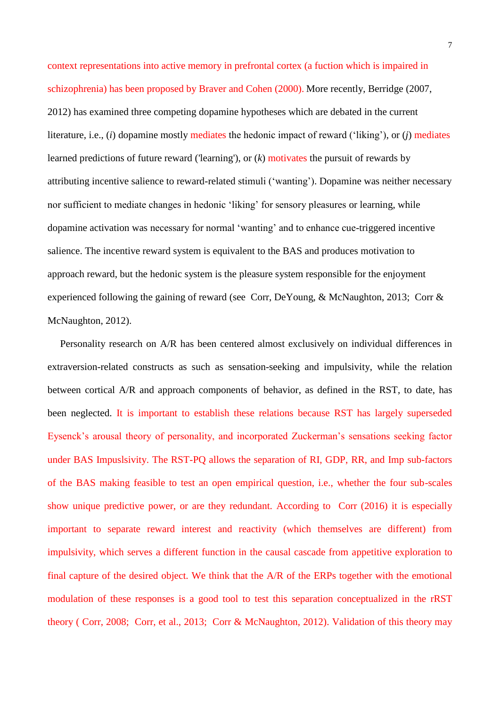context representations into active memory in prefrontal cortex (a fuction which is impaired in schizophrenia) has been proposed by [Braver and Cohen \(2000\).](#page-28-11) More recently, Berridge (2007, 2012) has examined three competing dopamine hypotheses which are debated in the current literature, i.e., (*i*) dopamine mostly mediates the hedonic impact of reward ('liking'), or (*j*) mediates learned predictions of future reward ('learning'), or (*k*) motivates the pursuit of rewards by attributing incentive salience to reward-related stimuli ('wanting'). Dopamine was neither necessary nor sufficient to mediate changes in hedonic 'liking' for sensory pleasures or learning, while dopamine activation was necessary for normal 'wanting' and to enhance cue-triggered incentive salience. The incentive reward system is equivalent to the BAS and produces motivation to approach reward, but the hedonic system is the pleasure system responsible for the enjoyment experienced following the gaining of reward (see [Corr, DeYoung, & McNaughton, 2013;](#page-29-10) [Corr &](#page-29-4)  [McNaughton, 2012\)](#page-29-4).

 Personality research on A/R has been centered almost exclusively on individual differences in extraversion-related constructs as such as sensation-seeking and impulsivity, while the relation between cortical A/R and approach components of behavior, as defined in the RST, to date, has been neglected. It is important to establish these relations because RST has largely superseded Eysenck's arousal theory of personality, and incorporated Zuckerman's sensations seeking factor under BAS Impuslsivity. The RST-PQ allows the separation of RI, GDP, RR, and Imp sub-factors of the BAS making feasible to test an open empirical question, i.e., whether the four sub-scales show unique predictive power, or are they redundant. According to [Corr \(2016\)](#page-29-6) it is especially important to separate reward interest and reactivity (which themselves are different) from impulsivity, which serves a different function in the causal cascade from appetitive exploration to final capture of the desired object. We think that the A/R of the ERPs together with the emotional modulation of these responses is a good tool to test this separation conceptualized in the rRST theory ( [Corr, 2008;](#page-29-8) [Corr, et al., 2013;](#page-29-10) [Corr & McNaughton, 2012\)](#page-29-4). Validation of this theory may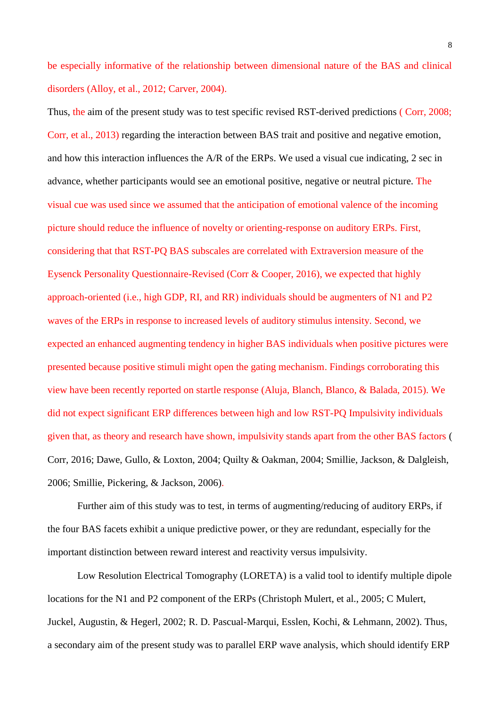be especially informative of the relationship between dimensional nature of the BAS and clinical disorders [\(Alloy, et al., 2012;](#page-27-0) [Carver, 2004\)](#page-28-12).

Thus, the aim of the present study was to test specific revised RST-derived predictions ( [Corr, 2008;](#page-29-8) [Corr, et al., 2013\)](#page-29-10) regarding the interaction between BAS trait and positive and negative emotion, and how this interaction influences the A/R of the ERPs. We used a visual cue indicating, 2 sec in advance, whether participants would see an emotional positive, negative or neutral picture. The visual cue was used since we assumed that the anticipation of emotional valence of the incoming picture should reduce the influence of novelty or orienting-response on auditory ERPs. First, considering that that RST-PQ BAS subscales are correlated with Extraversion measure of the Eysenck Personality Questionnaire-Revised [\(Corr & Cooper, 2016\)](#page-29-9), we expected that highly approach-oriented (i.e., high GDP, RI, and RR) individuals should be augmenters of N1 and P2 waves of the ERPs in response to increased levels of auditory stimulus intensity. Second, we expected an enhanced augmenting tendency in higher BAS individuals when positive pictures were presented because positive stimuli might open the gating mechanism. Findings corroborating this view have been recently reported on startle response [\(Aluja, Blanch, Blanco, & Balada, 2015\)](#page-27-1). We did not expect significant ERP differences between high and low RST-PQ Impulsivity individuals given that, as theory and research have shown, impulsivity stands apart from the other BAS factors [\(](#page-29-6) [Corr, 2016;](#page-29-6) [Dawe, Gullo, & Loxton, 2004;](#page-29-11) [Quilty & Oakman, 2004;](#page-31-4) [Smillie, Jackson, & Dalgleish,](#page-31-5)  [2006;](#page-31-5) [Smillie, Pickering, & Jackson, 2006\)](#page-32-9).

Further aim of this study was to test, in terms of augmenting/reducing of auditory ERPs, if the four BAS facets exhibit a unique predictive power, or they are redundant, especially for the important distinction between reward interest and reactivity versus impulsivity.

Low Resolution Electrical Tomography (LORETA) is a valid tool to identify multiple dipole locations for the N1 and P2 component of the ERPs [\(Christoph Mulert, et al., 2005;](#page-31-6) [C Mulert,](#page-31-7)  [Juckel, Augustin, & Hegerl, 2002;](#page-31-7) [R. D. Pascual-Marqui, Esslen, Kochi, & Lehmann, 2002\)](#page-31-8). Thus, a secondary aim of the present study was to parallel ERP wave analysis, which should identify ERP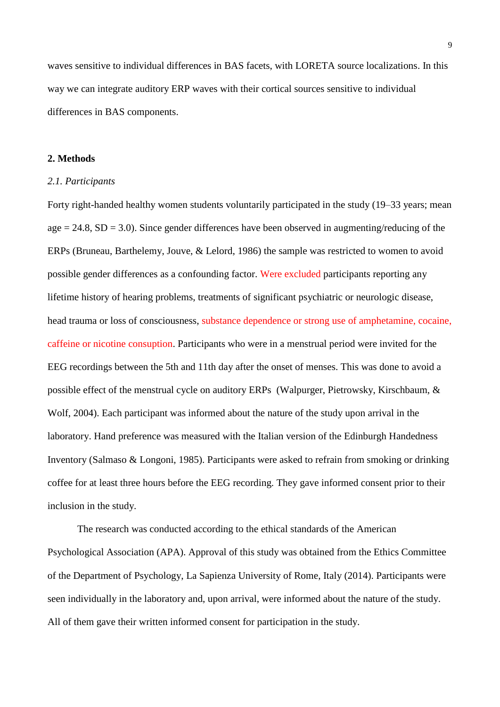waves sensitive to individual differences in BAS facets, with LORETA source localizations. In this way we can integrate auditory ERP waves with their cortical sources sensitive to individual differences in BAS components.

# **2. Methods**

#### *2.1. Participants*

Forty right-handed healthy women students voluntarily participated in the study (19–33 years; mean  $age = 24.8$ ,  $SD = 3.0$ ). Since gender differences have been observed in augmenting/reducing of the ERPs [\(Bruneau, Barthelemy, Jouve, & Lelord, 1986\)](#page-28-13) the sample was restricted to women to avoid possible gender differences as a confounding factor. Were excluded participants reporting any lifetime history of hearing problems, treatments of significant psychiatric or neurologic disease, head trauma or loss of consciousness, substance dependence or strong use of amphetamine, cocaine, caffeine or nicotine consuption. Participants who were in a menstrual period were invited for the EEG recordings between the 5th and 11th day after the onset of menses. This was done to avoid a possible effect of the menstrual cycle on auditory ERPs [\(Walpurger, Pietrowsky, Kirschbaum, &](#page-32-10)  [Wolf, 2004\)](#page-32-10). Each participant was informed about the nature of the study upon arrival in the laboratory. Hand preference was measured with the Italian version of the Edinburgh Handedness Inventory [\(Salmaso & Longoni, 1985\)](#page-31-9). Participants were asked to refrain from smoking or drinking coffee for at least three hours before the EEG recording. They gave informed consent prior to their inclusion in the study.

The research was conducted according to the ethical standards of the American Psychological Association (APA). Approval of this study was obtained from the Ethics Committee of the Department of Psychology, La Sapienza University of Rome, Italy (2014). Participants were seen individually in the laboratory and, upon arrival, were informed about the nature of the study. All of them gave their written informed consent for participation in the study.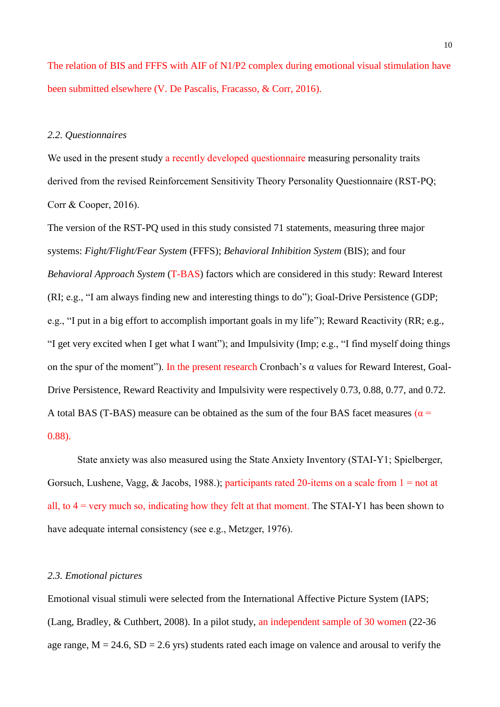The relation of BIS and FFFS with AIF of N1/P2 complex during emotional visual stimulation have been submitted elsewhere [\(V. De Pascalis, Fracasso, & Corr, 2016\)](#page-29-12).

# *2.2. Questionnaires*

We used in the present study a recently developed questionnaire measuring personality traits derived from the revised Reinforcement Sensitivity Theory Personality Questionnaire [\(RST-PQ;](#page-29-9)  [Corr & Cooper, 2016\)](#page-29-9).

The version of the RST-PQ used in this study consisted 71 statements, measuring three major systems: *Fight/Flight/Fear System* (FFFS); *Behavioral Inhibition System* (BIS); and four *Behavioral Approach System* (T-BAS) factors which are considered in this study: Reward Interest (RI; e.g., "I am always finding new and interesting things to do"); Goal-Drive Persistence (GDP; e.g., "I put in a big effort to accomplish important goals in my life"); Reward Reactivity (RR; e.g., "I get very excited when I get what I want"); and Impulsivity (Imp; e.g., "I find myself doing things on the spur of the moment"). In the present research Cronbach's α values for Reward Interest, Goal-Drive Persistence, Reward Reactivity and Impulsivity were respectively 0.73, 0.88, 0.77, and 0.72. A total BAS (T-BAS) measure can be obtained as the sum of the four BAS facet measures ( $\alpha$  = 0.88).

State anxiety was also measured using the State Anxiety Inventory (STAI-Y1; [Spielberger,](#page-32-11)  [Gorsuch, Lushene, Vagg, & Jacobs, 1988.\)](#page-32-11); participants rated 20-items on a scale from  $1 = not$  at all, to 4 = very much so, indicating how they felt at that moment. The STAI-Y1 has been shown to have adequate internal consistency [\(see e.g., Metzger, 1976\)](#page-30-14).

# *2.3. Emotional pictures*

Emotional visual stimuli were selected from the International Affective Picture System (IAPS; [\(Lang, Bradley, & Cuthbert, 2008\)](#page-30-15). In a pilot study, an independent sample of 30 women (22-36 age range,  $M = 24.6$ ,  $SD = 2.6$  yrs) students rated each image on valence and arousal to verify the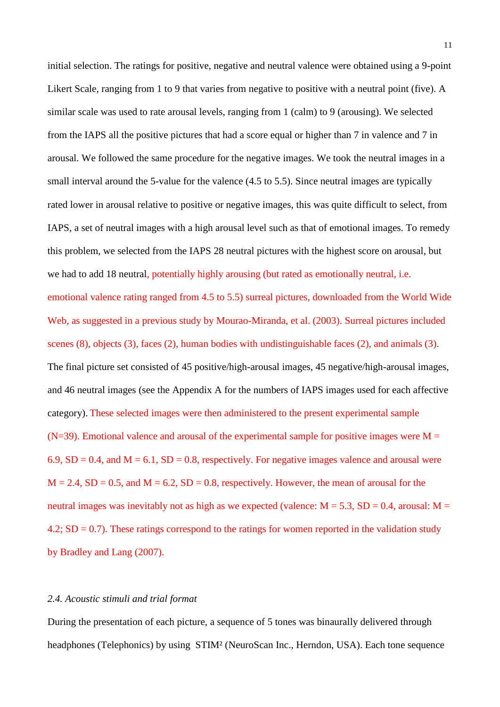initial selection. The ratings for positive, negative and neutral valence were obtained using a 9-point Likert Scale, ranging from 1 to 9 that varies from negative to positive with a neutral point (five). A similar scale was used to rate arousal levels, ranging from 1 (calm) to 9 (arousing). We selected from the IAPS all the positive pictures that had a score equal or higher than 7 in valence and 7 in arousal. We followed the same procedure for the negative images. We took the neutral images in a small interval around the 5-value for the valence (4.5 to 5.5). Since neutral images are typically rated lower in arousal relative to positive or negative images, this was quite difficult to select, from IAPS, a set of neutral images with a high arousal level such as that of emotional images. To remedy this problem, we selected from the IAPS 28 neutral pictures with the highest score on arousal, but we had to add 18 neutral, potentially highly arousing (but rated as emotionally neutral, i.e. emotional valence rating ranged from 4.5 to 5.5) surreal pictures, downloaded from the World Wide Web, as suggested in a previous study by [Mourao-Miranda, et al. \(2003\).](#page-30-16) Surreal pictures included scenes (8), objects (3), faces (2), human bodies with undistinguishable faces (2), and animals (3). The final picture set consisted of 45 positive/high-arousal images, 45 negative/high-arousal images, and 46 neutral images (see the Appendix A for the numbers of IAPS images used for each affective category). These selected images were then administered to the present experimental sample (N=39). Emotional valence and arousal of the experimental sample for positive images were  $M =$ 6.9,  $SD = 0.4$ , and  $M = 6.1$ ,  $SD = 0.8$ , respectively. For negative images valence and arousal were  $M = 2.4$ ,  $SD = 0.5$ , and  $M = 6.2$ ,  $SD = 0.8$ , respectively. However, the mean of arousal for the neutral images was inevitably not as high as we expected (valence:  $M = 5.3$ ,  $SD = 0.4$ , arousal:  $M =$ 4.2;  $SD = 0.7$ ). These ratings correspond to the ratings for women reported in the validation study by [Bradley and Lang \(2007\).](#page-28-14)

#### *2.4. Acoustic stimuli and trial format*

During the presentation of each picture, a sequence of 5 tones was binaurally delivered through headphones (Telephonics) by using STIM² (NeuroScan Inc., Herndon, USA). Each tone sequence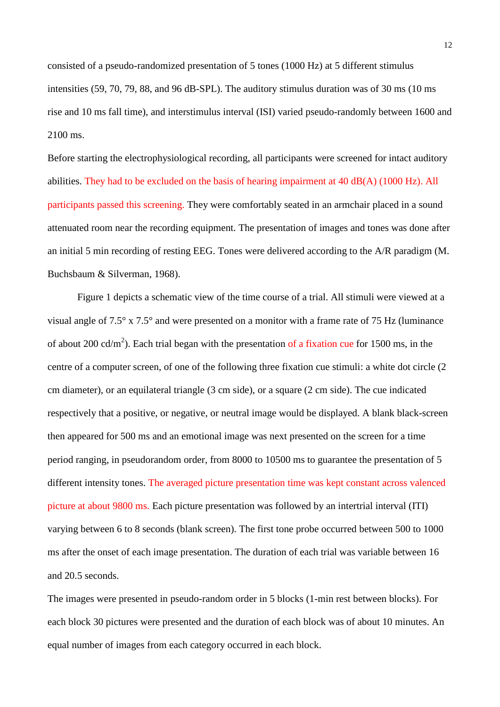consisted of a pseudo-randomized presentation of 5 tones (1000 Hz) at 5 different stimulus intensities (59, 70, 79, 88, and 96 dB-SPL). The auditory stimulus duration was of 30 ms (10 ms rise and 10 ms fall time), and interstimulus interval (ISI) varied pseudo-randomly between 1600 and 2100 ms.

Before starting the electrophysiological recording, all participants were screened for intact auditory abilities. They had to be excluded on the basis of hearing impairment at 40 dB(A) (1000 Hz). All participants passed this screening. They were comfortably seated in an armchair placed in a sound attenuated room near the recording equipment. The presentation of images and tones was done after an initial 5 min recording of resting EEG. Tones were delivered according to the A/R paradigm [\(M.](#page-28-0)  [Buchsbaum & Silverman, 1968\)](#page-28-0).

Figure 1 depicts a schematic view of the time course of a trial. All stimuli were viewed at a visual angle of 7.5° x 7.5° and were presented on a monitor with a frame rate of 75 Hz (luminance of about 200 cd/m<sup>2</sup>). Each trial began with the presentation of a fixation cue for 1500 ms, in the centre of a computer screen, of one of the following three fixation cue stimuli: a white dot circle (2 cm diameter), or an equilateral triangle (3 cm side), or a square (2 cm side). The cue indicated respectively that a positive, or negative, or neutral image would be displayed. A blank black-screen then appeared for 500 ms and an emotional image was next presented on the screen for a time period ranging, in pseudorandom order, from 8000 to 10500 ms to guarantee the presentation of 5 different intensity tones. The averaged picture presentation time was kept constant across valenced picture at about 9800 ms. Each picture presentation was followed by an intertrial interval (ITI) varying between 6 to 8 seconds (blank screen). The first tone probe occurred between 500 to 1000 ms after the onset of each image presentation. The duration of each trial was variable between 16 and 20.5 seconds.

The images were presented in pseudo-random order in 5 blocks (1-min rest between blocks). For each block 30 pictures were presented and the duration of each block was of about 10 minutes. An equal number of images from each category occurred in each block.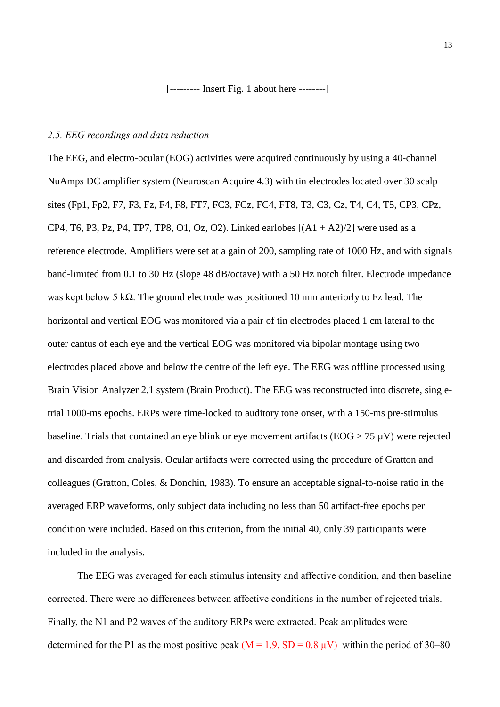[--------- Insert Fig. 1 about here --------]

# *2.5. EEG recordings and data reduction*

The EEG, and electro-ocular (EOG) activities were acquired continuously by using a 40-channel NuAmps DC amplifier system (Neuroscan Acquire 4.3) with tin electrodes located over 30 scalp sites (Fp1, Fp2, F7, F3, Fz, F4, F8, FT7, FC3, FCz, FC4, FT8, T3, C3, Cz, T4, C4, T5, CP3, CPz, CP4, T6, P3, Pz, P4, TP7, TP8, O1, Oz, O2). Linked earlobes  $[(A1 + A2)/2]$  were used as a reference electrode. Amplifiers were set at a gain of 200, sampling rate of 1000 Hz, and with signals band-limited from 0.1 to 30 Hz (slope 48 dB/octave) with a 50 Hz notch filter. Electrode impedance was kept below 5 kΩ. The ground electrode was positioned 10 mm anteriorly to Fz lead. The horizontal and vertical EOG was monitored via a pair of tin electrodes placed 1 cm lateral to the outer cantus of each eye and the vertical EOG was monitored via bipolar montage using two electrodes placed above and below the centre of the left eye. The EEG was offline processed using Brain Vision Analyzer 2.1 system (Brain Product). The EEG was reconstructed into discrete, singletrial 1000-ms epochs. ERPs were time-locked to auditory tone onset, with a 150-ms pre-stimulus baseline. Trials that contained an eye blink or eye movement artifacts (EOG > 75 µV) were rejected and discarded from analysis. Ocular artifacts were corrected using the procedure of Gratton and colleagues [\(Gratton, Coles, & Donchin, 1983\)](#page-29-13). To ensure an acceptable signal-to-noise ratio in the averaged ERP waveforms, only subject data including no less than 50 artifact-free epochs per condition were included. Based on this criterion, from the initial 40, only 39 participants were included in the analysis.

The EEG was averaged for each stimulus intensity and affective condition, and then baseline corrected. There were no differences between affective conditions in the number of rejected trials. Finally, the N1 and P2 waves of the auditory ERPs were extracted. Peak amplitudes were determined for the P1 as the most positive peak ( $M = 1.9$ ,  $SD = 0.8 \mu V$ ) within the period of 30–80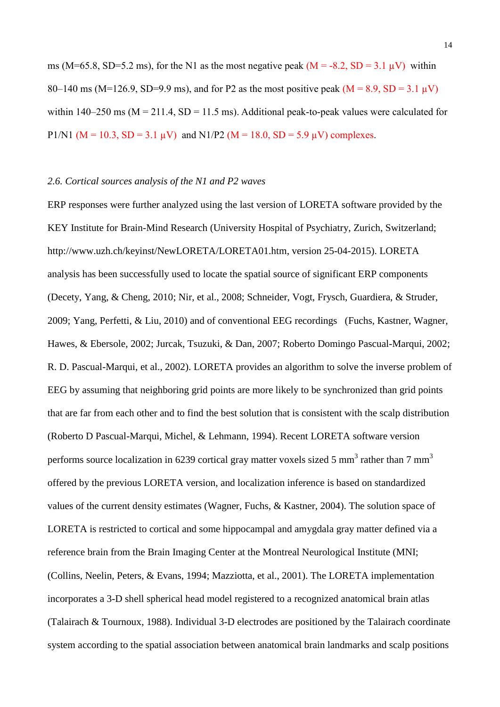ms (M=65.8, SD=5.2 ms), for the N1 as the most negative peak ( $M = -8.2$ , SD = 3.1  $\mu$ V) within 80–140 ms (M=126.9, SD=9.9 ms), and for P2 as the most positive peak (M = 8.9, SD = 3.1  $\mu$ V) within 140–250 ms ( $M = 211.4$ ,  $SD = 11.5$  ms). Additional peak-to-peak values were calculated for P1/N1 ( $M = 10.3$ ,  $SD = 3.1 \mu V$ ) and N1/P2 ( $M = 18.0$ ,  $SD = 5.9 \mu V$ ) complexes.

#### *2.6. Cortical sources analysis of the N1 and P2 waves*

ERP responses were further analyzed using the last version of LORETA software provided by the KEY Institute for Brain-Mind Research (University Hospital of Psychiatry, Zurich, Switzerland; http://www.uzh.ch/keyinst/NewLORETA/LORETA01.htm, version 25-04-2015). LORETA analysis has been successfully used to locate the spatial source of significant ERP components [\(Decety, Yang, & Cheng, 2010;](#page-29-14) [Nir, et al., 2008;](#page-31-10) [Schneider, Vogt, Frysch, Guardiera, & Struder,](#page-31-11)  [2009;](#page-31-11) [Yang, Perfetti, & Liu, 2010\)](#page-32-12) and of conventional EEG recordings [\(Fuchs, Kastner, Wagner,](#page-29-15)  [Hawes, & Ebersole, 2002;](#page-29-15) [Jurcak, Tsuzuki, & Dan, 2007;](#page-30-17) [Roberto Domingo Pascual-Marqui, 2002;](#page-31-12) [R. D. Pascual-Marqui, et al., 2002\)](#page-31-8). LORETA provides an algorithm to solve the inverse problem of EEG by assuming that neighboring grid points are more likely to be synchronized than grid points that are far from each other and to find the best solution that is consistent with the scalp distribution [\(Roberto D Pascual-Marqui, Michel, & Lehmann, 1994\)](#page-31-13). Recent LORETA software version performs source localization in 6239 cortical gray matter voxels sized 5 mm<sup>3</sup> rather than 7 mm<sup>3</sup> offered by the previous LORETA version, and localization inference is based on standardized values of the current density estimates [\(Wagner, Fuchs, & Kastner, 2004\)](#page-32-13). The solution space of LORETA is restricted to cortical and some hippocampal and amygdala gray matter defined via a reference brain from the Brain Imaging Center at the Montreal Neurological Institute (MNI; [\(Collins, Neelin, Peters, & Evans, 1994;](#page-28-15) [Mazziotta, et al., 2001\)](#page-30-18). The LORETA implementation incorporates a 3-D shell spherical head model registered to a recognized anatomical brain atlas [\(Talairach & Tournoux, 1988\)](#page-32-14). Individual 3-D electrodes are positioned by the Talairach coordinate system according to the spatial association between anatomical brain landmarks and scalp positions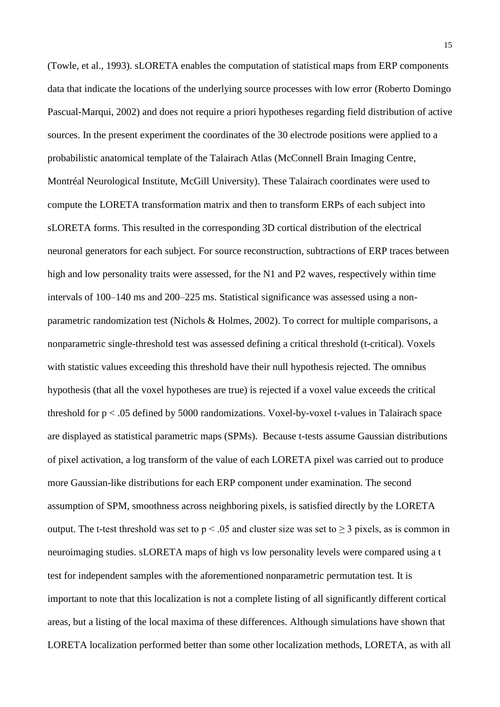[\(Towle, et al., 1993\)](#page-32-15). sLORETA enables the computation of statistical maps from ERP components data that indicate the locations of the underlying source processes with low error [\(Roberto Domingo](#page-31-12)  [Pascual-Marqui, 2002\)](#page-31-12) and does not require a priori hypotheses regarding field distribution of active sources. In the present experiment the coordinates of the 30 electrode positions were applied to a probabilistic anatomical template of the Talairach Atlas (McConnell Brain Imaging Centre, Montréal Neurological Institute, McGill University). These Talairach coordinates were used to compute the LORETA transformation matrix and then to transform ERPs of each subject into sLORETA forms. This resulted in the corresponding 3D cortical distribution of the electrical neuronal generators for each subject. For source reconstruction, subtractions of ERP traces between high and low personality traits were assessed, for the N1 and P2 waves, respectively within time intervals of 100–140 ms and 200–225 ms. Statistical significance was assessed using a nonparametric randomization test [\(Nichols & Holmes, 2002\)](#page-31-14). To correct for multiple comparisons, a nonparametric single-threshold test was assessed defining a critical threshold (t-critical). Voxels with statistic values exceeding this threshold have their null hypothesis rejected. The omnibus hypothesis (that all the voxel hypotheses are true) is rejected if a voxel value exceeds the critical threshold for p < .05 defined by 5000 randomizations. Voxel-by-voxel t-values in Talairach space are displayed as statistical parametric maps (SPMs). Because t-tests assume Gaussian distributions of pixel activation, a log transform of the value of each LORETA pixel was carried out to produce more Gaussian-like distributions for each ERP component under examination. The second assumption of SPM, smoothness across neighboring pixels, is satisfied directly by the LORETA output. The t-test threshold was set to  $p < 0.05$  and cluster size was set to  $\geq 3$  pixels, as is common in neuroimaging studies. sLORETA maps of high vs low personality levels were compared using a t test for independent samples with the aforementioned nonparametric permutation test. It is important to note that this localization is not a complete listing of all significantly different cortical areas, but a listing of the local maxima of these differences. Although simulations have shown that LORETA localization performed better than some other localization methods, LORETA, as with all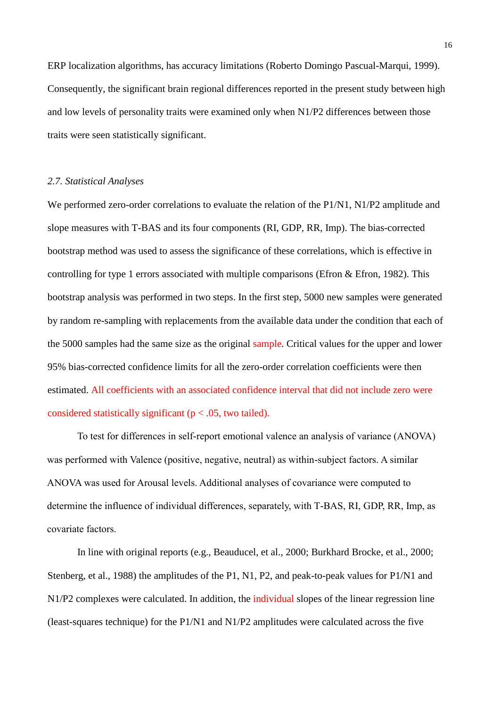ERP localization algorithms, has accuracy limitations [\(Roberto Domingo Pascual-Marqui, 1999\)](#page-31-15). Consequently, the significant brain regional differences reported in the present study between high and low levels of personality traits were examined only when N1/P2 differences between those traits were seen statistically significant.

# *2.7. Statistical Analyses*

We performed zero-order correlations to evaluate the relation of the P1/N1, N1/P2 amplitude and slope measures with T-BAS and its four components (RI, GDP, RR, Imp). The bias-corrected bootstrap method was used to assess the significance of these correlations, which is effective in controlling for type 1 errors associated with multiple comparisons (Efron & [Efron, 1982\)](#page-29-16). This bootstrap analysis was performed in two steps. In the first step, 5000 new samples were generated by random re-sampling with replacements from the available data under the condition that each of the 5000 samples had the same size as the original sample. Critical values for the upper and lower 95% bias-corrected confidence limits for all the zero-order correlation coefficients were then estimated. All coefficients with an associated confidence interval that did not include zero were considered statistically significant ( $p < .05$ , two tailed).

To test for differences in self-report emotional valence an analysis of variance (ANOVA) was performed with Valence (positive, negative, neutral) as within-subject factors. A similar ANOVA was used for Arousal levels. Additional analyses of covariance were computed to determine the influence of individual differences, separately, with T-BAS, RI, GDP, RR, Imp, as covariate factors.

In line with original reports (e.g., [Beauducel, et al., 2000;](#page-28-2) [Burkhard Brocke, et al., 2000;](#page-28-3) [Stenberg, et al., 1988\)](#page-32-3) the amplitudes of the P1, N1, P2, and peak-to-peak values for P1/N1 and N1/P2 complexes were calculated. In addition, the individual slopes of the linear regression line (least-squares technique) for the P1/N1 and N1/P2 amplitudes were calculated across the five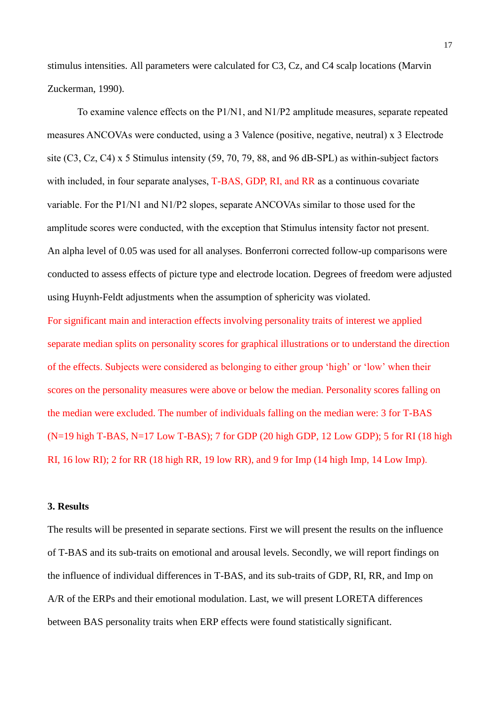stimulus intensities. All parameters were calculated for C3, Cz, and C4 scalp locations [\(Marvin](#page-32-5)  [Zuckerman, 1990\)](#page-32-5).

To examine valence effects on the P1/N1, and N1/P2 amplitude measures, separate repeated measures ANCOVAs were conducted, using a 3 Valence (positive, negative, neutral) x 3 Electrode site (C3, Cz, C4) x 5 Stimulus intensity (59, 70, 79, 88, and 96 dB-SPL) as within-subject factors with included, in four separate analyses, T-BAS, GDP, RI, and RR as a continuous covariate variable. For the P1/N1 and N1/P2 slopes, separate ANCOVAs similar to those used for the amplitude scores were conducted, with the exception that Stimulus intensity factor not present. An alpha level of 0.05 was used for all analyses. Bonferroni corrected follow-up comparisons were conducted to assess effects of picture type and electrode location. Degrees of freedom were adjusted using Huynh-Feldt adjustments when the assumption of sphericity was violated.

For significant main and interaction effects involving personality traits of interest we applied separate median splits on personality scores for graphical illustrations or to understand the direction of the effects. Subjects were considered as belonging to either group 'high' or 'low' when their scores on the personality measures were above or below the median. Personality scores falling on the median were excluded. The number of individuals falling on the median were: 3 for T-BAS  $(N=19$  high T-BAS, N=17 Low T-BAS); 7 for GDP (20 high GDP, 12 Low GDP); 5 for RI (18 high RI, 16 low RI); 2 for RR (18 high RR, 19 low RR), and 9 for Imp (14 high Imp, 14 Low Imp).

#### **3. Results**

The results will be presented in separate sections. First we will present the results on the influence of T-BAS and its sub-traits on emotional and arousal levels. Secondly, we will report findings on the influence of individual differences in T-BAS, and its sub-traits of GDP, RI, RR, and Imp on A/R of the ERPs and their emotional modulation. Last, we will present LORETA differences between BAS personality traits when ERP effects were found statistically significant.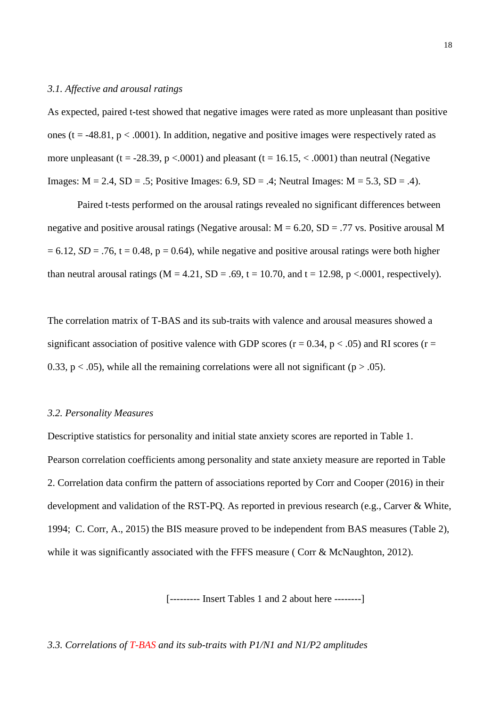### *3.1. Affective and arousal ratings*

As expected, paired t-test showed that negative images were rated as more unpleasant than positive ones (t =  $-48.81$ , p < .0001). In addition, negative and positive images were respectively rated as more unpleasant (t = -28.39,  $p < .0001$ ) and pleasant (t = 16.15,  $< .0001$ ) than neutral (Negative Images:  $M = 2.4$ ,  $SD = .5$ ; Positive Images: 6.9,  $SD = .4$ ; Neutral Images:  $M = 5.3$ ,  $SD = .4$ ).

Paired t-tests performed on the arousal ratings revealed no significant differences between negative and positive arousal ratings (Negative arousal:  $M = 6.20$ ,  $SD = .77$  vs. Positive arousal M  $= 6.12$ , *SD* = .76, t = 0.48, p = 0.64), while negative and positive arousal ratings were both higher than neutral arousal ratings ( $M = 4.21$ ,  $SD = .69$ ,  $t = 10.70$ , and  $t = 12.98$ ,  $p < .0001$ , respectively).

The correlation matrix of T-BAS and its sub-traits with valence and arousal measures showed a significant association of positive valence with GDP scores ( $r = 0.34$ ,  $p < .05$ ) and RI scores ( $r =$ 0.33,  $p < .05$ ), while all the remaining correlations were all not significant ( $p > .05$ ).

# *3.2. Personality Measures*

Descriptive statistics for personality and initial state anxiety scores are reported in Table 1. Pearson correlation coefficients among personality and state anxiety measure are reported in Table 2. Correlation data confirm the pattern of associations reported by [Corr and Cooper \(2016\)](#page-29-9) in their development and validation of the RST-PQ. As reported in previous research (e.g., [Carver & White,](#page-28-9)  [1994;](#page-28-9) [C. Corr, A., 2015\)](#page-29-17) the BIS measure proved to be independent from BAS measures (Table 2), while it was significantly associated with the FFFS measure ([Corr & McNaughton, 2012\)](#page-29-4).

[--------- Insert Tables 1 and 2 about here --------]

*3.3. Correlations of T-BAS and its sub-traits with P1/N1 and N1/P2 amplitudes*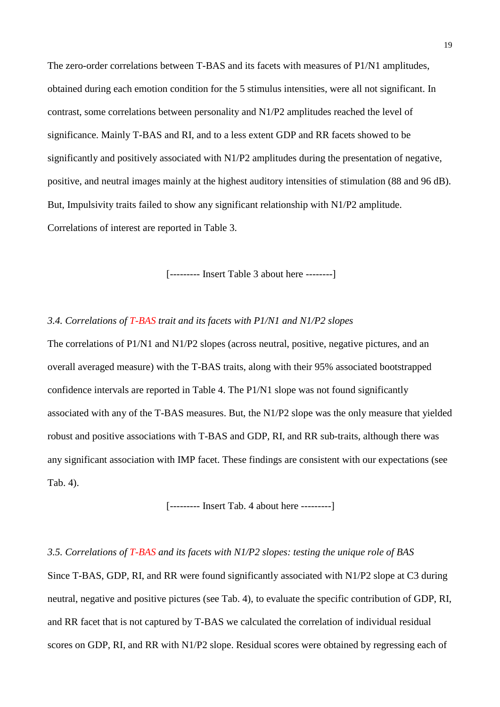The zero-order correlations between T-BAS and its facets with measures of P1/N1 amplitudes, obtained during each emotion condition for the 5 stimulus intensities, were all not significant. In contrast, some correlations between personality and N1/P2 amplitudes reached the level of significance. Mainly T-BAS and RI, and to a less extent GDP and RR facets showed to be significantly and positively associated with N1/P2 amplitudes during the presentation of negative, positive, and neutral images mainly at the highest auditory intensities of stimulation (88 and 96 dB). But, Impulsivity traits failed to show any significant relationship with N1/P2 amplitude. Correlations of interest are reported in Table 3.

[--------- Insert Table 3 about here --------]

# *3.4. Correlations of T-BAS trait and its facets with P1/N1 and N1/P2 slopes*

The correlations of P1/N1 and N1/P2 slopes (across neutral, positive, negative pictures, and an overall averaged measure) with the T-BAS traits, along with their 95% associated bootstrapped confidence intervals are reported in Table 4. The P1/N1 slope was not found significantly associated with any of the T-BAS measures. But, the N1/P2 slope was the only measure that yielded robust and positive associations with T-BAS and GDP, RI, and RR sub-traits, although there was any significant association with IMP facet. These findings are consistent with our expectations (see Tab. 4).

[--------- Insert Tab. 4 about here ---------]

*3.5. Correlations of T-BAS and its facets with N1/P2 slopes: testing the unique role of BAS* Since T-BAS, GDP, RI, and RR were found significantly associated with N1/P2 slope at C3 during neutral, negative and positive pictures (see Tab. 4), to evaluate the specific contribution of GDP, RI, and RR facet that is not captured by T-BAS we calculated the correlation of individual residual scores on GDP, RI, and RR with N1/P2 slope. Residual scores were obtained by regressing each of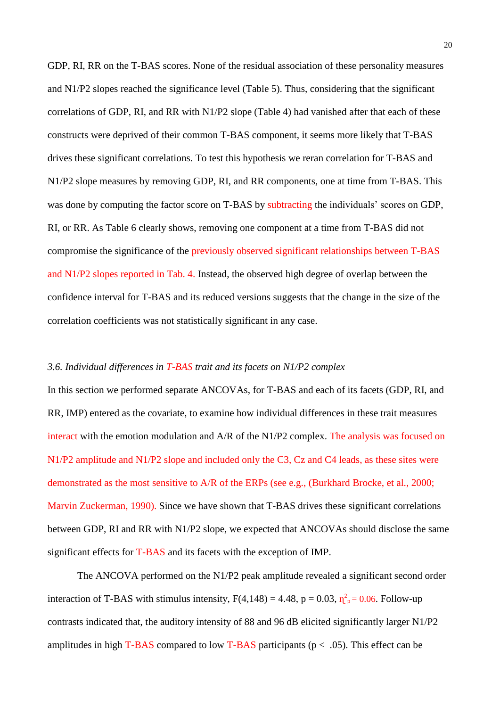GDP, RI, RR on the T-BAS scores. None of the residual association of these personality measures and N1/P2 slopes reached the significance level (Table 5). Thus, considering that the significant correlations of GDP, RI, and RR with N1/P2 slope (Table 4) had vanished after that each of these constructs were deprived of their common T-BAS component, it seems more likely that T-BAS drives these significant correlations. To test this hypothesis we reran correlation for T-BAS and N1/P2 slope measures by removing GDP, RI, and RR components, one at time from T-BAS. This was done by computing the factor score on T-BAS by subtracting the individuals' scores on GDP, RI, or RR. As Table 6 clearly shows, removing one component at a time from T-BAS did not compromise the significance of the previously observed significant relationships between T-BAS and N1/P2 slopes reported in Tab. 4. Instead, the observed high degree of overlap between the confidence interval for T-BAS and its reduced versions suggests that the change in the size of the correlation coefficients was not statistically significant in any case.

# *3.6. Individual differences in T-BAS trait and its facets on N1/P2 complex*

In this section we performed separate ANCOVAs, for T-BAS and each of its facets (GDP, RI, and RR, IMP) entered as the covariate, to examine how individual differences in these trait measures interact with the emotion modulation and A/R of the N1/P2 complex. The analysis was focused on N1/P2 amplitude and N1/P2 slope and included only the C3, Cz and C4 leads, as these sites were demonstrated as the most sensitive to A/R of the ERPs (see e.g., [\(Burkhard Brocke, et al., 2000;](#page-28-3) [Marvin Zuckerman, 1990\)](#page-32-5). Since we have shown that T-BAS drives these significant correlations between GDP, RI and RR with N1/P2 slope, we expected that ANCOVAs should disclose the same significant effects for T-BAS and its facets with the exception of IMP.

The ANCOVA performed on the N1/P2 peak amplitude revealed a significant second order interaction of T-BAS with stimulus intensity,  $F(4,148) = 4.48$ ,  $p = 0.03$ ,  $\eta_{p}^{2} = 0.06$ . Follow-up contrasts indicated that, the auditory intensity of 88 and 96 dB elicited significantly larger N1/P2 amplitudes in high T-BAS compared to low T-BAS participants ( $p < .05$ ). This effect can be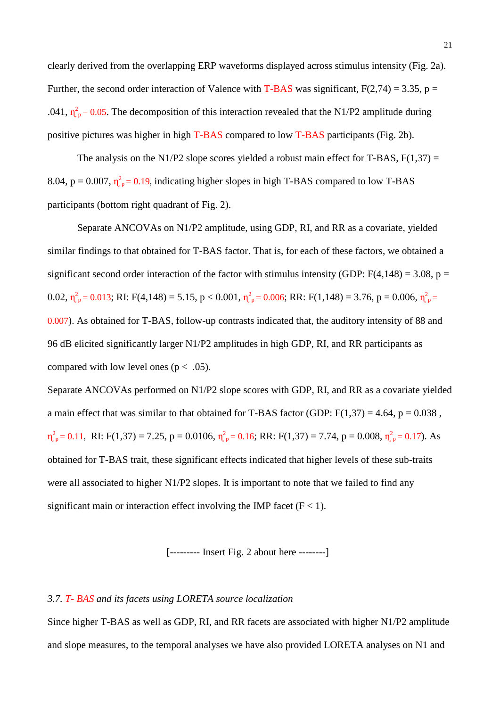clearly derived from the overlapping ERP waveforms displayed across stimulus intensity (Fig. 2a). Further, the second order interaction of Valence with T-BAS was significant,  $F(2,74) = 3.35$ , p = .041,  $\eta_{\rm p}^2$  = 0.05. The decomposition of this interaction revealed that the N1/P2 amplitude during positive pictures was higher in high T-BAS compared to low T-BAS participants (Fig. 2b).

The analysis on the N1/P2 slope scores yielded a robust main effect for T-BAS,  $F(1,37) =$ 8.04,  $p = 0.007$ ,  $\eta_{p}^2 = 0.19$ , indicating higher slopes in high T-BAS compared to low T-BAS participants (bottom right quadrant of Fig. 2).

Separate ANCOVAs on N1/P2 amplitude, using GDP, RI, and RR as a covariate, yielded similar findings to that obtained for T-BAS factor. That is, for each of these factors, we obtained a significant second order interaction of the factor with stimulus intensity (GDP:  $F(4,148) = 3.08$ , p = 0.02,  $\eta_{\text{p}}^2 = 0.013$ ; RI: F(4,148) = 5.15, p < 0.001,  $\eta_{\text{p}}^2 = 0.006$ ; RR: F(1,148) = 3.76, p = 0.006,  $\eta_{\text{p}}^2 =$ 0.007). As obtained for T-BAS, follow-up contrasts indicated that, the auditory intensity of 88 and 96 dB elicited significantly larger N1/P2 amplitudes in high GDP, RI, and RR participants as compared with low level ones ( $p < .05$ ).

Separate ANCOVAs performed on N1/P2 slope scores with GDP, RI, and RR as a covariate yielded a main effect that was similar to that obtained for T-BAS factor (GDP:  $F(1,37) = 4.64$ ,  $p = 0.038$ ,  $\eta_{\rm p}^2 = 0.11$ , RI: F(1,37) = 7.25, p = 0.0106,  $\eta_{\rm p}^2 = 0.16$ ; RR: F(1,37) = 7.74, p = 0.008,  $\eta_{\rm p}^2 = 0.17$ ). As obtained for T-BAS trait, these significant effects indicated that higher levels of these sub-traits were all associated to higher N1/P2 slopes. It is important to note that we failed to find any significant main or interaction effect involving the IMP facet ( $F < 1$ ).

[--------- Insert Fig. 2 about here --------]

#### *3.7. T- BAS and its facets using LORETA source localization*

Since higher T-BAS as well as GDP, RI, and RR facets are associated with higher N1/P2 amplitude and slope measures, to the temporal analyses we have also provided LORETA analyses on N1 and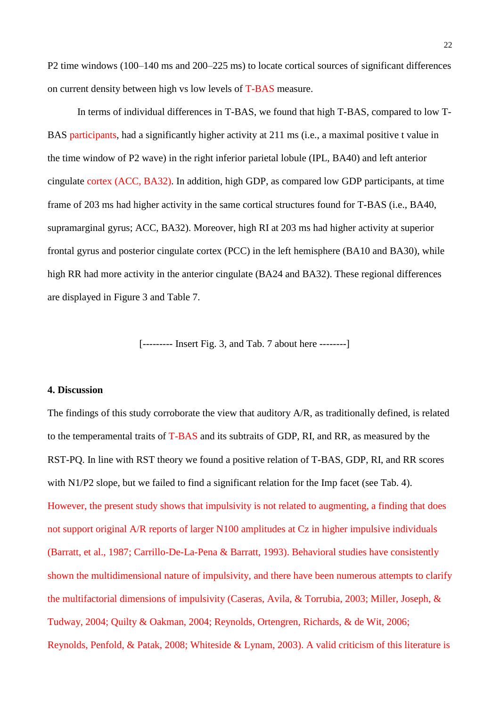P2 time windows (100–140 ms and 200–225 ms) to locate cortical sources of significant differences on current density between high vs low levels of T-BAS measure.

In terms of individual differences in T-BAS, we found that high T-BAS, compared to low T-BAS participants, had a significantly higher activity at 211 ms (i.e., a maximal positive t value in the time window of P2 wave) in the right inferior parietal lobule (IPL, BA40) and left anterior cingulate cortex (ACC, BA32). In addition, high GDP, as compared low GDP participants, at time frame of 203 ms had higher activity in the same cortical structures found for T-BAS (i.e., BA40, supramarginal gyrus; ACC, BA32). Moreover, high RI at 203 ms had higher activity at superior frontal gyrus and posterior cingulate cortex (PCC) in the left hemisphere (BA10 and BA30), while high RR had more activity in the anterior cingulate (BA24 and BA32). These regional differences are displayed in Figure 3 and Table 7.

[--------- Insert Fig. 3, and Tab. 7 about here --------]

# **4. Discussion**

The findings of this study corroborate the view that auditory A/R, as traditionally defined, is related to the temperamental traits of T-BAS and its subtraits of GDP, RI, and RR, as measured by the RST-PQ. In line with RST theory we found a positive relation of T-BAS, GDP, RI, and RR scores with N1/P2 slope, but we failed to find a significant relation for the Imp facet (see Tab. 4). However, the present study shows that impulsivity is not related to augmenting, a finding that does not support original A/R reports of larger N100 amplitudes at Cz in higher impulsive individuals [\(Barratt, et al., 1987;](#page-28-7) [Carrillo-De-La-Pena & Barratt, 1993\)](#page-28-8). Behavioral studies have consistently shown the multidimensional nature of impulsivity, and there have been numerous attempts to clarify the multifactorial dimensions of impulsivity [\(Caseras, Avila, & Torrubia, 2003;](#page-28-16) [Miller, Joseph, &](#page-30-19)  [Tudway, 2004;](#page-30-19) [Quilty & Oakman, 2004;](#page-31-4) [Reynolds, Ortengren, Richards, & de Wit, 2006;](#page-31-16) [Reynolds, Penfold, & Patak, 2008;](#page-31-17) [Whiteside & Lynam, 2003\)](#page-32-16). A valid criticism of this literature is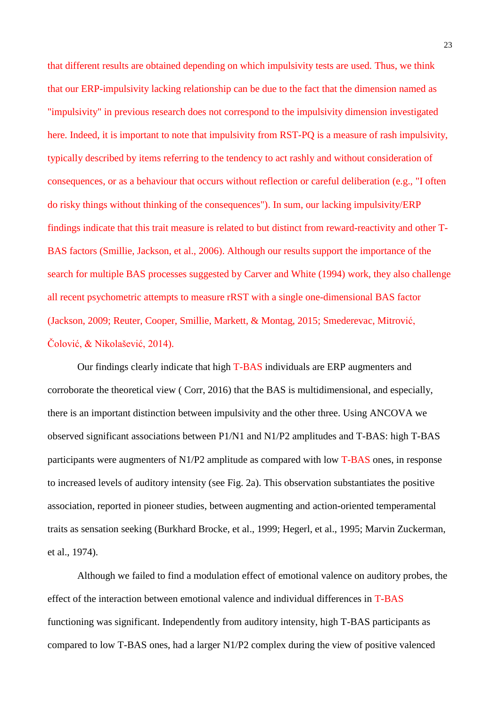that different results are obtained depending on which impulsivity tests are used. Thus, we think that our ERP-impulsivity lacking relationship can be due to the fact that the dimension named as "impulsivity" in previous research does not correspond to the impulsivity dimension investigated here. Indeed, it is important to note that impulsivity from RST-PQ is a measure of rash impulsivity, typically described by items referring to the tendency to act rashly and without consideration of consequences, or as a behaviour that occurs without reflection or careful deliberation (e.g., "I often do risky things without thinking of the consequences"). In sum, our lacking impulsivity/ERP findings indicate that this trait measure is related to but distinct from reward-reactivity and other T-BAS factors [\(Smillie, Jackson, et al., 2006\)](#page-31-5). Although our results support the importance of the search for multiple BAS processes suggested by [Carver and White \(1994\)](#page-28-9) work, they also challenge all recent psychometric attempts to measure rRST with a single one-dimensional BAS factor [\(Jackson, 2009;](#page-30-20) [Reuter, Cooper, Smillie, Markett, & Montag, 2015;](#page-31-18) [Smederevac, Mitrović,](#page-31-19)  [Čolović, & Nikolašević, 2014\)](#page-31-19).

Our findings clearly indicate that high T-BAS individuals are ERP augmenters and corroborate the theoretical view ( [Corr, 2016\)](#page-29-6) that the BAS is multidimensional, and especially, there is an important distinction between impulsivity and the other three. Using ANCOVA we observed significant associations between P1/N1 and N1/P2 amplitudes and T-BAS: high T-BAS participants were augmenters of N1/P2 amplitude as compared with low T-BAS ones, in response to increased levels of auditory intensity (see Fig. 2a). This observation substantiates the positive association, reported in pioneer studies, between augmenting and action-oriented temperamental traits as sensation seeking [\(Burkhard Brocke, et al., 1999;](#page-28-4) [Hegerl, et al., 1995;](#page-30-8) [Marvin Zuckerman,](#page-32-6)  [et al., 1974\)](#page-32-6).

Although we failed to find a modulation effect of emotional valence on auditory probes, the effect of the interaction between emotional valence and individual differences in T-BAS functioning was significant. Independently from auditory intensity, high T-BAS participants as compared to low T-BAS ones, had a larger N1/P2 complex during the view of positive valenced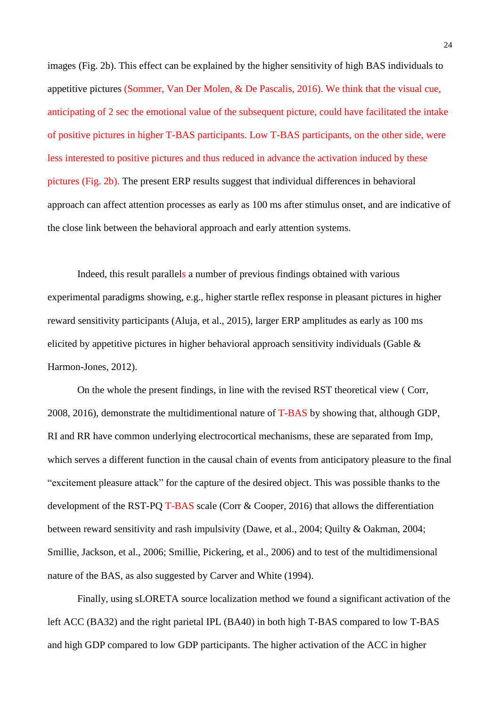images (Fig. 2b). This effect can be explained by the higher sensitivity of high BAS individuals to appetitive pictures [\(Sommer, Van Der Molen, & De Pascalis, 2016\)](#page-32-17). We think that the visual cue, anticipating of 2 sec the emotional value of the subsequent picture, could have facilitated the intake of positive pictures in higher T-BAS participants. Low T-BAS participants, on the other side, were less interested to positive pictures and thus reduced in advance the activation induced by these pictures (Fig. 2b). The present ERP results suggest that individual differences in behavioral approach can affect attention processes as early as 100 ms after stimulus onset, and are indicative of the close link between the behavioral approach and early attention systems.

Indeed, this result parallels a number of previous findings obtained with various experimental paradigms showing, e.g., higher startle reflex response in pleasant pictures in higher reward sensitivity participants [\(Aluja, et al., 2015\)](#page-27-1), larger ERP amplitudes as early as 100 ms elicited by appetitive pictures in higher behavioral approach sensitivity individuals [\(Gable &](#page-29-18)  [Harmon-Jones, 2012\)](#page-29-18).

On the whole the present findings, in line with the revised RST theoretical view ( [Corr,](#page-29-8)  [2008,](#page-29-8) [2016\)](#page-29-6), demonstrate the multidimentional nature of T-BAS by showing that, although GDP, RI and RR have common underlying electrocortical mechanisms, these are separated from Imp, which serves a different function in the causal chain of events from anticipatory pleasure to the final "excitement pleasure attack" for the capture of the desired object. This was possible thanks to the development of the RST-PQ T-BAS scale [\(Corr & Cooper, 2016\)](#page-29-9) that allows the differentiation between reward sensitivity and rash impulsivity [\(Dawe, et al., 2004;](#page-29-11) [Quilty & Oakman, 2004;](#page-31-4) [Smillie, Jackson, et al., 2006;](#page-31-5) [Smillie, Pickering, et al., 2006\)](#page-32-9) and to test of the multidimensional nature of the BAS, as also suggested by [Carver and White \(1994\).](#page-28-9)

Finally, using sLORETA source localization method we found a significant activation of the left ACC (BA32) and the right parietal IPL (BA40) in both high T-BAS compared to low T-BAS and high GDP compared to low GDP participants. The higher activation of the ACC in higher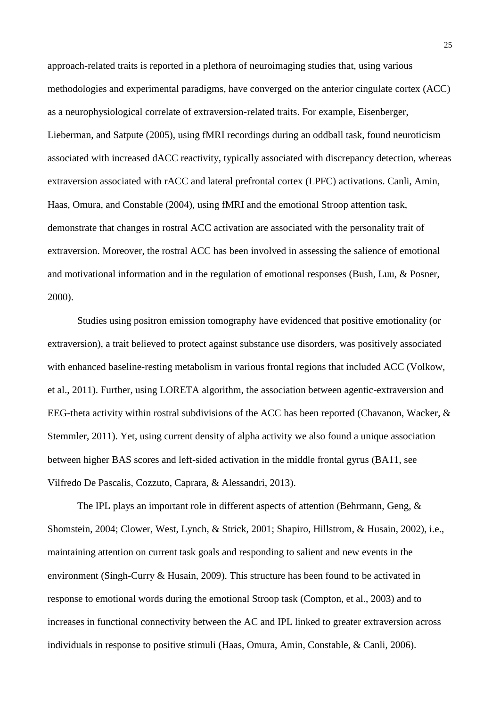approach-related traits is reported in a plethora of neuroimaging studies that, using various methodologies and experimental paradigms, have converged on the anterior cingulate cortex (ACC) as a neurophysiological correlate of extraversion-related traits. For example, [Eisenberger,](#page-29-19)  Lieberman, and Satpute (2005), using fMRI recordings during an oddball task, found neuroticism associated with increased dACC reactivity, typically associated with discrepancy detection, whereas extraversion associated with rACC and lateral prefrontal cortex (LPFC) activations. [Canli, Amin,](#page-28-17)  Haas, Omura, and Constable (2004), using fMRI and the emotional Stroop attention task, demonstrate that changes in rostral ACC activation are associated with the personality trait of extraversion. Moreover, the rostral ACC has been involved in assessing the salience of emotional and motivational information and in the regulation of emotional responses [\(Bush, Luu, & Posner,](#page-28-18)  [2000\)](#page-28-18).

Studies using positron emission tomography have evidenced that positive emotionality (or extraversion), a trait believed to protect against substance use disorders, was positively associated with enhanced baseline-resting metabolism in various frontal regions that included ACC [\(Volkow,](#page-32-18)  [et al., 2011\)](#page-32-18). Further, using LORETA algorithm, the association between agentic-extraversion and EEG-theta activity within rostral subdivisions of the ACC has been reported [\(Chavanon, Wacker, &](#page-28-19)  [Stemmler, 2011\)](#page-28-19). Yet, using current density of alpha activity we also found a unique association between higher BAS scores and left-sided activation in the middle frontal gyrus [\(BA11, see](#page-29-20)  [Vilfredo De Pascalis, Cozzuto, Caprara, & Alessandri, 2013\)](#page-29-20).

The IPL plays an important role in different aspects of attention [\(Behrmann, Geng, &](#page-28-20)  [Shomstein, 2004;](#page-28-20) [Clower, West, Lynch, & Strick, 2001;](#page-28-21) [Shapiro, Hillstrom, & Husain, 2002\)](#page-31-20), i.e., maintaining attention on current task goals and responding to salient and new events in the environment [\(Singh-Curry & Husain, 2009\)](#page-31-21). This structure has been found to be activated in response to emotional words during the emotional Stroop task [\(Compton, et al., 2003\)](#page-29-21) and to increases in functional connectivity between the AC and IPL linked to greater extraversion across individuals in response to positive stimuli [\(Haas, Omura, Amin, Constable, & Canli, 2006\)](#page-30-21).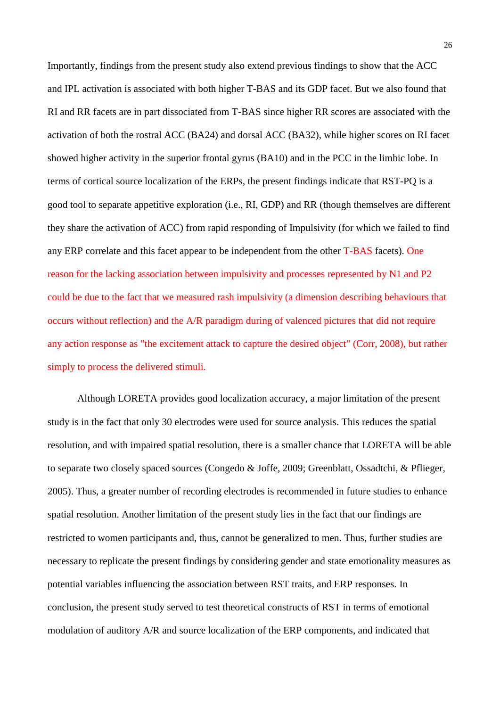Importantly, findings from the present study also extend previous findings to show that the ACC and IPL activation is associated with both higher T-BAS and its GDP facet. But we also found that RI and RR facets are in part dissociated from T-BAS since higher RR scores are associated with the activation of both the rostral ACC (BA24) and dorsal ACC (BA32), while higher scores on RI facet showed higher activity in the superior frontal gyrus (BA10) and in the PCC in the limbic lobe. In terms of cortical source localization of the ERPs, the present findings indicate that RST-PQ is a good tool to separate appetitive exploration (i.e., RI, GDP) and RR (though themselves are different they share the activation of ACC) from rapid responding of Impulsivity (for which we failed to find any ERP correlate and this facet appear to be independent from the other T-BAS facets). One reason for the lacking association between impulsivity and processes represented by N1 and P2 could be due to the fact that we measured rash impulsivity (a dimension describing behaviours that occurs without reflection) and the A/R paradigm during of valenced pictures that did not require any action response as "the excitement attack to capture the desired object" [\(Corr, 2008\)](#page-29-8), but rather simply to process the delivered stimuli.

Although LORETA provides good localization accuracy, a major limitation of the present study is in the fact that only 30 electrodes were used for source analysis. This reduces the spatial resolution, and with impaired spatial resolution, there is a smaller chance that LORETA will be able to separate two closely spaced sources [\(Congedo & Joffe, 2009;](#page-29-22) [Greenblatt, Ossadtchi, & Pflieger,](#page-29-23)  [2005\)](#page-29-23). Thus, a greater number of recording electrodes is recommended in future studies to enhance spatial resolution. Another limitation of the present study lies in the fact that our findings are restricted to women participants and, thus, cannot be generalized to men. Thus, further studies are necessary to replicate the present findings by considering gender and state emotionality measures as potential variables influencing the association between RST traits, and ERP responses. In conclusion, the present study served to test theoretical constructs of RST in terms of emotional modulation of auditory A/R and source localization of the ERP components, and indicated that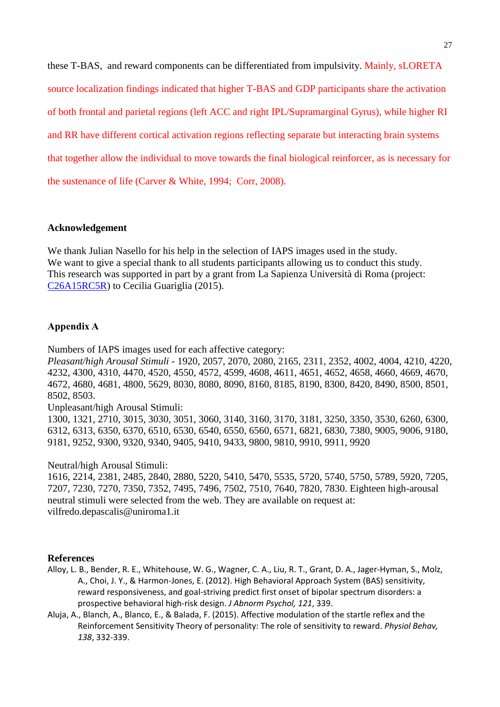these T-BAS, and reward components can be differentiated from impulsivity. Mainly, sLORETA source localization findings indicated that higher T-BAS and GDP participants share the activation of both frontal and parietal regions (left ACC and right IPL/Supramarginal Gyrus), while higher RI and RR have different cortical activation regions reflecting separate but interacting brain systems that together allow the individual to move towards the final biological reinforcer, as is necessary for the sustenance of life [\(Carver & White, 1994;](#page-28-9) [Corr, 2008\)](#page-29-8).

# **Acknowledgement**

We thank Julian Nasello for his help in the selection of IAPS images used in the study. We want to give a special thank to all students participants allowing us to conduct this study. This research was supported in part by a grant from La Sapienza Università di Roma (project: [C26A15RC5R\)](http://adesione.cineca.it/php5/sito/home.php?info=----------------------------------------------------------------------------------------&username=DPSVFR49&SESSION=8508666b006b4f820e45ad7d598a0c4c201604211905&parte=1&codice_richiesta=0259&codice_progetto=C26A15RC5R&esterno=1&info=----------------------------------------------------------------------------------------) to Cecilia Guariglia (2015).

# **Appendix A**

Numbers of IAPS images used for each affective category:

*Pleasant/high Arousal Stimuli -* 1920, 2057, 2070, 2080, 2165, 2311, 2352, 4002, 4004, 4210, 4220, 4232, 4300, 4310, 4470, 4520, 4550, 4572, 4599, 4608, 4611, 4651, 4652, 4658, 4660, 4669, 4670, 4672, 4680, 4681, 4800, 5629, 8030, 8080, 8090, 8160, 8185, 8190, 8300, 8420, 8490, 8500, 8501, 8502, 8503.

Unpleasant/high Arousal Stimuli:

1300, 1321, 2710, 3015, 3030, 3051, 3060, 3140, 3160, 3170, 3181, 3250, 3350, 3530, 6260, 6300, 6312, 6313, 6350, 6370, 6510, 6530, 6540, 6550, 6560, 6571, 6821, 6830, 7380, 9005, 9006, 9180, 9181, 9252, 9300, 9320, 9340, 9405, 9410, 9433, 9800, 9810, 9910, 9911, 9920

Neutral/high Arousal Stimuli:

1616, 2214, 2381, 2485, 2840, 2880, 5220, 5410, 5470, 5535, 5720, 5740, 5750, 5789, 5920, 7205, 7207, 7230, 7270, 7350, 7352, 7495, 7496, 7502, 7510, 7640, 7820, 7830. Eighteen high-arousal neutral stimuli were selected from the web. They are available on request at: vilfredo.depascalis@uniroma1.it

#### **References**

- <span id="page-27-0"></span>Alloy, L. B., Bender, R. E., Whitehouse, W. G., Wagner, C. A., Liu, R. T., Grant, D. A., Jager-Hyman, S., Molz, A., Choi, J. Y., & Harmon-Jones, E. (2012). High Behavioral Approach System (BAS) sensitivity, reward responsiveness, and goal-striving predict first onset of bipolar spectrum disorders: a prospective behavioral high-risk design. *J Abnorm Psychol, 121*, 339.
- <span id="page-27-1"></span>Aluja, A., Blanch, A., Blanco, E., & Balada, F. (2015). Affective modulation of the startle reflex and the Reinforcement Sensitivity Theory of personality: The role of sensitivity to reward. *Physiol Behav, 138*, 332-339.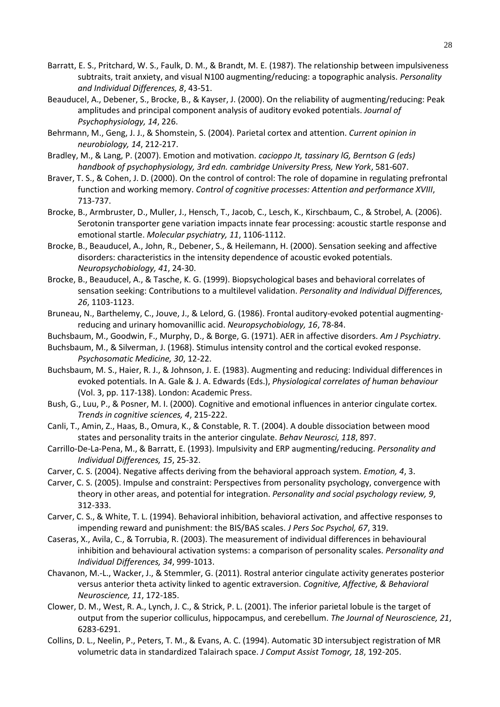- <span id="page-28-7"></span>Barratt, E. S., Pritchard, W. S., Faulk, D. M., & Brandt, M. E. (1987). The relationship between impulsiveness subtraits, trait anxiety, and visual N100 augmenting/reducing: a topographic analysis. *Personality and Individual Differences, 8*, 43-51.
- <span id="page-28-2"></span>Beauducel, A., Debener, S., Brocke, B., & Kayser, J. (2000). On the reliability of augmenting/reducing: Peak amplitudes and principal component analysis of auditory evoked potentials. *Journal of Psychophysiology, 14*, 226.
- <span id="page-28-20"></span>Behrmann, M., Geng, J. J., & Shomstein, S. (2004). Parietal cortex and attention. *Current opinion in neurobiology, 14*, 212-217.
- <span id="page-28-14"></span>Bradley, M., & Lang, P. (2007). Emotion and motivation. *cacioppo Jt, tassinary lG, Berntson G (eds) handbook of psychophysiology, 3rd edn. cambridge University Press, New York*, 581-607.
- <span id="page-28-11"></span>Braver, T. S., & Cohen, J. D. (2000). On the control of control: The role of dopamine in regulating prefrontal function and working memory. *Control of cognitive processes: Attention and performance XVIII*, 713-737.
- <span id="page-28-6"></span>Brocke, B., Armbruster, D., Muller, J., Hensch, T., Jacob, C., Lesch, K., Kirschbaum, C., & Strobel, A. (2006). Serotonin transporter gene variation impacts innate fear processing: acoustic startle response and emotional startle. *Molecular psychiatry, 11*, 1106-1112.
- <span id="page-28-3"></span>Brocke, B., Beauducel, A., John, R., Debener, S., & Heilemann, H. (2000). Sensation seeking and affective disorders: characteristics in the intensity dependence of acoustic evoked potentials. *Neuropsychobiology, 41*, 24-30.
- <span id="page-28-4"></span>Brocke, B., Beauducel, A., & Tasche, K. G. (1999). Biopsychological bases and behavioral correlates of sensation seeking: Contributions to a multilevel validation. *Personality and Individual Differences, 26*, 1103-1123.
- <span id="page-28-13"></span>Bruneau, N., Barthelemy, C., Jouve, J., & Lelord, G. (1986). Frontal auditory-evoked potential augmentingreducing and urinary homovanillic acid. *Neuropsychobiology, 16*, 78-84.
- <span id="page-28-1"></span>Buchsbaum, M., Goodwin, F., Murphy, D., & Borge, G. (1971). AER in affective disorders. *Am J Psychiatry*.
- <span id="page-28-0"></span>Buchsbaum, M., & Silverman, J. (1968). Stimulus intensity control and the cortical evoked response. *Psychosomatic Medicine, 30*, 12-22.
- <span id="page-28-5"></span>Buchsbaum, M. S., Haier, R. J., & Johnson, J. E. (1983). Augmenting and reducing: Individual differences in evoked potentials. In A. Gale & J. A. Edwards (Eds.), *Physiological correlates of human behaviour* (Vol. 3, pp. 117-138). London: Academic Press.
- <span id="page-28-18"></span>Bush, G., Luu, P., & Posner, M. I. (2000). Cognitive and emotional influences in anterior cingulate cortex. *Trends in cognitive sciences, 4*, 215-222.
- <span id="page-28-17"></span>Canli, T., Amin, Z., Haas, B., Omura, K., & Constable, R. T. (2004). A double dissociation between mood states and personality traits in the anterior cingulate. *Behav Neurosci, 118*, 897.
- <span id="page-28-8"></span>Carrillo-De-La-Pena, M., & Barratt, E. (1993). Impulsivity and ERP augmenting/reducing. *Personality and Individual Differences, 15*, 25-32.
- <span id="page-28-12"></span>Carver, C. S. (2004). Negative affects deriving from the behavioral approach system. *Emotion, 4*, 3.
- <span id="page-28-10"></span>Carver, C. S. (2005). Impulse and constraint: Perspectives from personality psychology, convergence with theory in other areas, and potential for integration. *Personality and social psychology review, 9*, 312-333.
- <span id="page-28-9"></span>Carver, C. S., & White, T. L. (1994). Behavioral inhibition, behavioral activation, and affective responses to impending reward and punishment: the BIS/BAS scales. *J Pers Soc Psychol, 67*, 319.
- <span id="page-28-16"></span>Caseras, X., Avila, C., & Torrubia, R. (2003). The measurement of individual differences in behavioural inhibition and behavioural activation systems: a comparison of personality scales. *Personality and Individual Differences, 34*, 999-1013.
- <span id="page-28-19"></span>Chavanon, M.-L., Wacker, J., & Stemmler, G. (2011). Rostral anterior cingulate activity generates posterior versus anterior theta activity linked to agentic extraversion. *Cognitive, Affective, & Behavioral Neuroscience, 11*, 172-185.
- <span id="page-28-21"></span>Clower, D. M., West, R. A., Lynch, J. C., & Strick, P. L. (2001). The inferior parietal lobule is the target of output from the superior colliculus, hippocampus, and cerebellum. *The Journal of Neuroscience, 21*, 6283-6291.
- <span id="page-28-15"></span>Collins, D. L., Neelin, P., Peters, T. M., & Evans, A. C. (1994). Automatic 3D intersubject registration of MR volumetric data in standardized Talairach space. *J Comput Assist Tomogr, 18*, 192-205.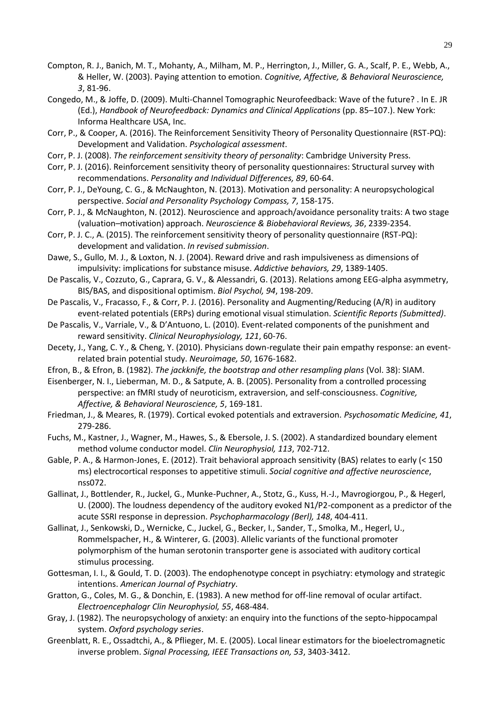- <span id="page-29-21"></span>Compton, R. J., Banich, M. T., Mohanty, A., Milham, M. P., Herrington, J., Miller, G. A., Scalf, P. E., Webb, A., & Heller, W. (2003). Paying attention to emotion. *Cognitive, Affective, & Behavioral Neuroscience, 3*, 81-96.
- <span id="page-29-22"></span>Congedo, M., & Joffe, D. (2009). Multi-Channel Tomographic Neurofeedback: Wave of the future? . In E. JR (Ed.), *Handbook of Neurofeedback: Dynamics and Clinical Applications* (pp. 85–107.). New York: Informa Healthcare USA, Inc.
- <span id="page-29-9"></span>Corr, P., & Cooper, A. (2016). The Reinforcement Sensitivity Theory of Personality Questionnaire (RST-PQ): Development and Validation. *Psychological assessment*.
- <span id="page-29-8"></span>Corr, P. J. (2008). *The reinforcement sensitivity theory of personality*: Cambridge University Press.
- <span id="page-29-6"></span>Corr, P. J. (2016). Reinforcement sensitivity theory of personality questionnaires: Structural survey with recommendations. *Personality and Individual Differences, 89*, 60-64.
- <span id="page-29-10"></span>Corr, P. J., DeYoung, C. G., & McNaughton, N. (2013). Motivation and personality: A neuropsychological perspective. *Social and Personality Psychology Compass, 7*, 158-175.
- <span id="page-29-4"></span>Corr, P. J., & McNaughton, N. (2012). Neuroscience and approach/avoidance personality traits: A two stage (valuation–motivation) approach. *Neuroscience & Biobehavioral Reviews, 36*, 2339-2354.
- <span id="page-29-17"></span>Corr, P. J. C., A. (2015). The reinforcement sensitivity theory of personality questionnaire (RST-PQ): development and validation. *In revised submission*.
- <span id="page-29-11"></span>Dawe, S., Gullo, M. J., & Loxton, N. J. (2004). Reward drive and rash impulsiveness as dimensions of impulsivity: implications for substance misuse. *Addictive behaviors, 29*, 1389-1405.
- <span id="page-29-20"></span>De Pascalis, V., Cozzuto, G., Caprara, G. V., & Alessandri, G. (2013). Relations among EEG-alpha asymmetry, BIS/BAS, and dispositional optimism. *Biol Psychol, 94*, 198-209.
- <span id="page-29-12"></span>De Pascalis, V., Fracasso, F., & Corr, P. J. (2016). Personality and Augmenting/Reducing (A/R) in auditory event-related potentials (ERPs) during emotional visual stimulation. *Scientific Reports (Submitted)*.
- <span id="page-29-7"></span>De Pascalis, V., Varriale, V., & D'Antuono, L. (2010). Event-related components of the punishment and reward sensitivity. *Clinical Neurophysiology, 121*, 60-76.
- <span id="page-29-14"></span>Decety, J., Yang, C. Y., & Cheng, Y. (2010). Physicians down-regulate their pain empathy response: an eventrelated brain potential study. *Neuroimage, 50*, 1676-1682.
- <span id="page-29-16"></span>Efron, B., & Efron, B. (1982). *The jackknife, the bootstrap and other resampling plans* (Vol. 38): SIAM.
- <span id="page-29-19"></span>Eisenberger, N. I., Lieberman, M. D., & Satpute, A. B. (2005). Personality from a controlled processing perspective: an fMRI study of neuroticism, extraversion, and self-consciousness. *Cognitive, Affective, & Behavioral Neuroscience, 5*, 169-181.
- <span id="page-29-3"></span>Friedman, J., & Meares, R. (1979). Cortical evoked potentials and extraversion. *Psychosomatic Medicine, 41*, 279-286.
- <span id="page-29-15"></span>Fuchs, M., Kastner, J., Wagner, M., Hawes, S., & Ebersole, J. S. (2002). A standardized boundary element method volume conductor model. *Clin Neurophysiol, 113*, 702-712.
- <span id="page-29-18"></span>Gable, P. A., & Harmon-Jones, E. (2012). Trait behavioral approach sensitivity (BAS) relates to early (< 150 ms) electrocortical responses to appetitive stimuli. *Social cognitive and affective neuroscience*, nss072.
- <span id="page-29-1"></span>Gallinat, J., Bottlender, R., Juckel, G., Munke-Puchner, A., Stotz, G., Kuss, H.-J., Mavrogiorgou, P., & Hegerl, U. (2000). The loudness dependency of the auditory evoked N1/P2-component as a predictor of the acute SSRI response in depression. *Psychopharmacology (Berl), 148*, 404-411.
- <span id="page-29-2"></span>Gallinat, J., Senkowski, D., Wernicke, C., Juckel, G., Becker, I., Sander, T., Smolka, M., Hegerl, U., Rommelspacher, H., & Winterer, G. (2003). Allelic variants of the functional promoter polymorphism of the human serotonin transporter gene is associated with auditory cortical stimulus processing.
- <span id="page-29-0"></span>Gottesman, I. I., & Gould, T. D. (2003). The endophenotype concept in psychiatry: etymology and strategic intentions. *American Journal of Psychiatry*.
- <span id="page-29-13"></span>Gratton, G., Coles, M. G., & Donchin, E. (1983). A new method for off-line removal of ocular artifact. *Electroencephalogr Clin Neurophysiol, 55*, 468-484.
- <span id="page-29-5"></span>Gray, J. (1982). The neuropsychology of anxiety: an enquiry into the functions of the septo-hippocampal system. *Oxford psychology series*.
- <span id="page-29-23"></span>Greenblatt, R. E., Ossadtchi, A., & Pflieger, M. E. (2005). Local linear estimators for the bioelectromagnetic inverse problem. *Signal Processing, IEEE Transactions on, 53*, 3403-3412.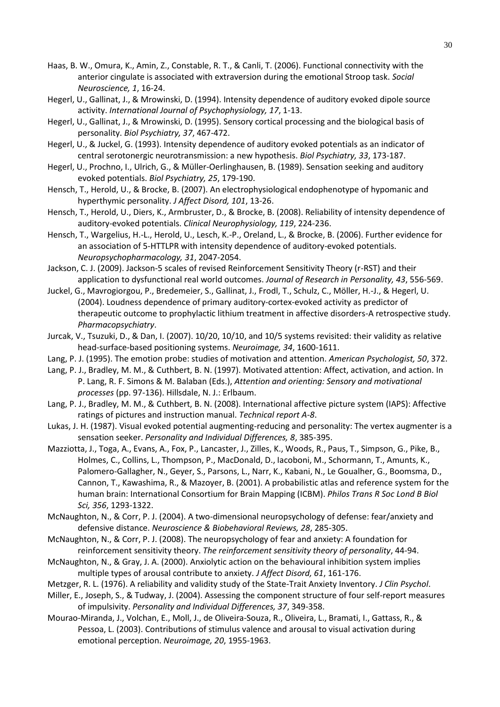- <span id="page-30-21"></span>Haas, B. W., Omura, K., Amin, Z., Constable, R. T., & Canli, T. (2006). Functional connectivity with the anterior cingulate is associated with extraversion during the emotional Stroop task. *Social Neuroscience, 1*, 16-24.
- <span id="page-30-1"></span>Hegerl, U., Gallinat, J., & Mrowinski, D. (1994). Intensity dependence of auditory evoked dipole source activity. *International Journal of Psychophysiology, 17*, 1-13.
- <span id="page-30-8"></span>Hegerl, U., Gallinat, J., & Mrowinski, D. (1995). Sensory cortical processing and the biological basis of personality. *Biol Psychiatry, 37*, 467-472.
- <span id="page-30-0"></span>Hegerl, U., & Juckel, G. (1993). Intensity dependence of auditory evoked potentials as an indicator of central serotonergic neurotransmission: a new hypothesis. *Biol Psychiatry, 33*, 173-187.
- <span id="page-30-2"></span>Hegerl, U., Prochno, I., Ulrich, G., & Müller-Oerlinghausen, B. (1989). Sensation seeking and auditory evoked potentials. *Biol Psychiatry, 25*, 179-190.
- <span id="page-30-7"></span>Hensch, T., Herold, U., & Brocke, B. (2007). An electrophysiological endophenotype of hypomanic and hyperthymic personality. *J Affect Disord, 101*, 13-26.
- <span id="page-30-3"></span>Hensch, T., Herold, U., Diers, K., Armbruster, D., & Brocke, B. (2008). Reliability of intensity dependence of auditory-evoked potentials. *Clinical Neurophysiology, 119*, 224-236.
- <span id="page-30-5"></span>Hensch, T., Wargelius, H.-L., Herold, U., Lesch, K.-P., Oreland, L., & Brocke, B. (2006). Further evidence for an association of 5-HTTLPR with intensity dependence of auditory-evoked potentials. *Neuropsychopharmacology, 31*, 2047-2054.
- <span id="page-30-20"></span>Jackson, C. J. (2009). Jackson-5 scales of revised Reinforcement Sensitivity Theory (r-RST) and their application to dysfunctional real world outcomes. *Journal of Research in Personality, 43*, 556-569.
- <span id="page-30-4"></span>Juckel, G., Mavrogiorgou, P., Bredemeier, S., Gallinat, J., Frodl, T., Schulz, C., Möller, H.-J., & Hegerl, U. (2004). Loudness dependence of primary auditory-cortex-evoked activity as predictor of therapeutic outcome to prophylactic lithium treatment in affective disorders-A retrospective study. *Pharmacopsychiatry*.
- <span id="page-30-17"></span>Jurcak, V., Tsuzuki, D., & Dan, I. (2007). 10/20, 10/10, and 10/5 systems revisited: their validity as relative head-surface-based positioning systems. *Neuroimage, 34*, 1600-1611.
- <span id="page-30-12"></span>Lang, P. J. (1995). The emotion probe: studies of motivation and attention. *American Psychologist, 50*, 372.
- <span id="page-30-13"></span>Lang, P. J., Bradley, M. M., & Cuthbert, B. N. (1997). Motivated attention: Affect, activation, and action. In P. Lang, R. F. Simons & M. Balaban (Eds.), *Attention and orienting: Sensory and motivational processes* (pp. 97-136). Hillsdale, N. J.: Erlbaum.
- <span id="page-30-15"></span>Lang, P. J., Bradley, M. M., & Cuthbert, B. N. (2008). International affective picture system (IAPS): Affective ratings of pictures and instruction manual. *Technical report A-8*.
- <span id="page-30-6"></span>Lukas, J. H. (1987). Visual evoked potential augmenting-reducing and personality: The vertex augmenter is a sensation seeker. *Personality and Individual Differences, 8*, 385-395.
- <span id="page-30-18"></span>Mazziotta, J., Toga, A., Evans, A., Fox, P., Lancaster, J., Zilles, K., Woods, R., Paus, T., Simpson, G., Pike, B., Holmes, C., Collins, L., Thompson, P., MacDonald, D., Iacoboni, M., Schormann, T., Amunts, K., Palomero-Gallagher, N., Geyer, S., Parsons, L., Narr, K., Kabani, N., Le Goualher, G., Boomsma, D., Cannon, T., Kawashima, R., & Mazoyer, B. (2001). A probabilistic atlas and reference system for the human brain: International Consortium for Brain Mapping (ICBM). *Philos Trans R Soc Lond B Biol Sci, 356*, 1293-1322.
- <span id="page-30-9"></span>McNaughton, N., & Corr, P. J. (2004). A two-dimensional neuropsychology of defense: fear/anxiety and defensive distance. *Neuroscience & Biobehavioral Reviews, 28*, 285-305.
- <span id="page-30-10"></span>McNaughton, N., & Corr, P. J. (2008). The neuropsychology of fear and anxiety: A foundation for reinforcement sensitivity theory. *The reinforcement sensitivity theory of personality*, 44-94.
- <span id="page-30-11"></span>McNaughton, N., & Gray, J. A. (2000). Anxiolytic action on the behavioural inhibition system implies multiple types of arousal contribute to anxiety. *J Affect Disord, 61*, 161-176.
- <span id="page-30-14"></span>Metzger, R. L. (1976). A reliability and validity study of the State-Trait Anxiety Inventory. *J Clin Psychol*.
- <span id="page-30-19"></span>Miller, E., Joseph, S., & Tudway, J. (2004). Assessing the component structure of four self-report measures of impulsivity. *Personality and Individual Differences, 37*, 349-358.
- <span id="page-30-16"></span>Mourao-Miranda, J., Volchan, E., Moll, J., de Oliveira-Souza, R., Oliveira, L., Bramati, I., Gattass, R., & Pessoa, L. (2003). Contributions of stimulus valence and arousal to visual activation during emotional perception. *Neuroimage, 20*, 1955-1963.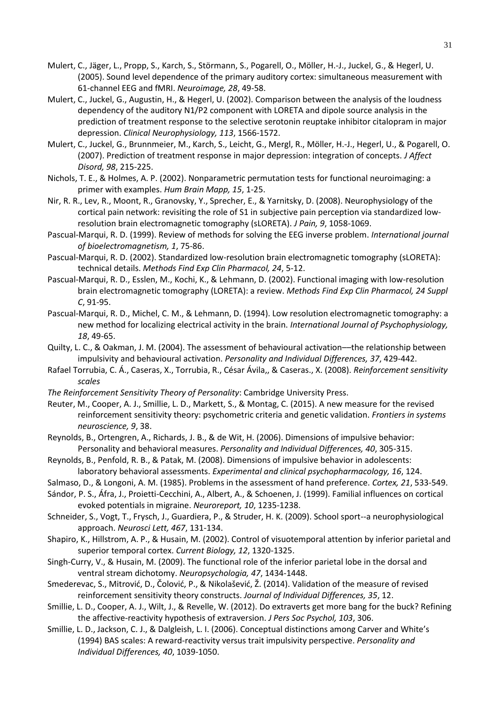- <span id="page-31-6"></span>Mulert, C., Jäger, L., Propp, S., Karch, S., Störmann, S., Pogarell, O., Möller, H.-J., Juckel, G., & Hegerl, U. (2005). Sound level dependence of the primary auditory cortex: simultaneous measurement with 61-channel EEG and fMRI. *Neuroimage, 28*, 49-58.
- <span id="page-31-7"></span>Mulert, C., Juckel, G., Augustin, H., & Hegerl, U. (2002). Comparison between the analysis of the loudness dependency of the auditory N1/P2 component with LORETA and dipole source analysis in the prediction of treatment response to the selective serotonin reuptake inhibitor citalopram in major depression. *Clinical Neurophysiology, 113*, 1566-1572.
- <span id="page-31-0"></span>Mulert, C., Juckel, G., Brunnmeier, M., Karch, S., Leicht, G., Mergl, R., Möller, H.-J., Hegerl, U., & Pogarell, O. (2007). Prediction of treatment response in major depression: integration of concepts. *J Affect Disord, 98*, 215-225.
- <span id="page-31-14"></span>Nichols, T. E., & Holmes, A. P. (2002). Nonparametric permutation tests for functional neuroimaging: a primer with examples. *Hum Brain Mapp, 15*, 1-25.
- <span id="page-31-10"></span>Nir, R. R., Lev, R., Moont, R., Granovsky, Y., Sprecher, E., & Yarnitsky, D. (2008). Neurophysiology of the cortical pain network: revisiting the role of S1 in subjective pain perception via standardized lowresolution brain electromagnetic tomography (sLORETA). *J Pain, 9*, 1058-1069.
- <span id="page-31-15"></span>Pascual-Marqui, R. D. (1999). Review of methods for solving the EEG inverse problem. *International journal of bioelectromagnetism, 1*, 75-86.
- <span id="page-31-12"></span>Pascual-Marqui, R. D. (2002). Standardized low-resolution brain electromagnetic tomography (sLORETA): technical details. *Methods Find Exp Clin Pharmacol, 24*, 5-12.
- <span id="page-31-8"></span>Pascual-Marqui, R. D., Esslen, M., Kochi, K., & Lehmann, D. (2002). Functional imaging with low-resolution brain electromagnetic tomography (LORETA): a review. *Methods Find Exp Clin Pharmacol, 24 Suppl C*, 91-95.
- <span id="page-31-13"></span>Pascual-Marqui, R. D., Michel, C. M., & Lehmann, D. (1994). Low resolution electromagnetic tomography: a new method for localizing electrical activity in the brain. *International Journal of Psychophysiology, 18*, 49-65.
- <span id="page-31-4"></span>Quilty, L. C., & Oakman, J. M. (2004). The assessment of behavioural activation––the relationship between impulsivity and behavioural activation. *Personality and Individual Differences, 37*, 429-442.
- <span id="page-31-2"></span>Rafael Torrubia, C. Á., Caseras, X., Torrubia, R., César Ávila,, & Caseras., X. (2008). *Reinforcement sensitivity scales*
- *The Reinforcement Sensitivity Theory of Personality*: Cambridge University Press.
- <span id="page-31-18"></span>Reuter, M., Cooper, A. J., Smillie, L. D., Markett, S., & Montag, C. (2015). A new measure for the revised reinforcement sensitivity theory: psychometric criteria and genetic validation. *Frontiers in systems neuroscience, 9*, 38.
- <span id="page-31-16"></span>Reynolds, B., Ortengren, A., Richards, J. B., & de Wit, H. (2006). Dimensions of impulsive behavior: Personality and behavioral measures. *Personality and Individual Differences, 40*, 305-315.
- <span id="page-31-17"></span>Reynolds, B., Penfold, R. B., & Patak, M. (2008). Dimensions of impulsive behavior in adolescents: laboratory behavioral assessments. *Experimental and clinical psychopharmacology, 16*, 124.
- <span id="page-31-9"></span>Salmaso, D., & Longoni, A. M. (1985). Problems in the assessment of hand preference. *Cortex, 21*, 533-549.
- <span id="page-31-1"></span>Sándor, P. S., Áfra, J., Proietti-Cecchini, A., Albert, A., & Schoenen, J. (1999). Familial influences on cortical evoked potentials in migraine. *Neuroreport, 10*, 1235-1238.
- <span id="page-31-11"></span>Schneider, S., Vogt, T., Frysch, J., Guardiera, P., & Struder, H. K. (2009). School sport--a neurophysiological approach. *Neurosci Lett, 467*, 131-134.
- <span id="page-31-20"></span>Shapiro, K., Hillstrom, A. P., & Husain, M. (2002). Control of visuotemporal attention by inferior parietal and superior temporal cortex. *Current Biology, 12*, 1320-1325.
- <span id="page-31-21"></span>Singh-Curry, V., & Husain, M. (2009). The functional role of the inferior parietal lobe in the dorsal and ventral stream dichotomy. *Neuropsychologia, 47*, 1434-1448.
- <span id="page-31-19"></span>Smederevac, S., Mitrović, D., Čolović, P., & Nikolašević, Ž. (2014). Validation of the measure of revised reinforcement sensitivity theory constructs. *Journal of Individual Differences, 35*, 12.
- <span id="page-31-3"></span>Smillie, L. D., Cooper, A. J., Wilt, J., & Revelle, W. (2012). Do extraverts get more bang for the buck? Refining the affective-reactivity hypothesis of extraversion. *J Pers Soc Psychol, 103*, 306.
- <span id="page-31-5"></span>Smillie, L. D., Jackson, C. J., & Dalgleish, L. I. (2006). Conceptual distinctions among Carver and White's (1994) BAS scales: A reward-reactivity versus trait impulsivity perspective. *Personality and Individual Differences, 40*, 1039-1050.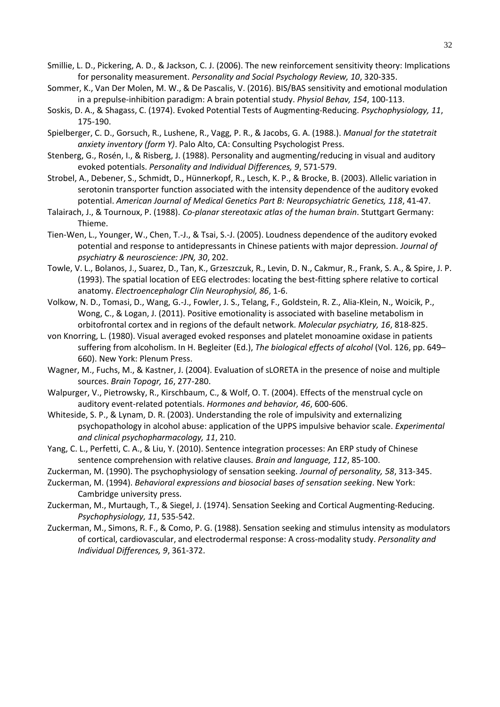- <span id="page-32-9"></span>Smillie, L. D., Pickering, A. D., & Jackson, C. J. (2006). The new reinforcement sensitivity theory: Implications for personality measurement. *Personality and Social Psychology Review, 10*, 320-335.
- <span id="page-32-17"></span>Sommer, K., Van Der Molen, M. W., & De Pascalis, V. (2016). BIS/BAS sensitivity and emotional modulation in a prepulse-inhibition paradigm: A brain potential study. *Physiol Behav, 154*, 100-113.
- <span id="page-32-8"></span>Soskis, D. A., & Shagass, C. (1974). Evoked Potential Tests of Augmenting‐Reducing. *Psychophysiology, 11*, 175-190.
- <span id="page-32-11"></span>Spielberger, C. D., Gorsuch, R., Lushene, R., Vagg, P. R., & Jacobs, G. A. (1988.). *Manual for the statetrait anxiety inventory (form Y)*. Palo Alto, CA: Consulting Psychologist Press.
- <span id="page-32-3"></span>Stenberg, G., Rosén, I., & Risberg, J. (1988). Personality and augmenting/reducing in visual and auditory evoked potentials. *Personality and Individual Differences, 9*, 571-579.
- <span id="page-32-2"></span>Strobel, A., Debener, S., Schmidt, D., Hünnerkopf, R., Lesch, K. P., & Brocke, B. (2003). Allelic variation in serotonin transporter function associated with the intensity dependence of the auditory evoked potential. *American Journal of Medical Genetics Part B: Neuropsychiatric Genetics, 118*, 41-47.
- <span id="page-32-14"></span>Talairach, J., & Tournoux, P. (1988). *Co-planar stereotaxic atlas of the human brain*. Stuttgart Germany: Thieme.
- <span id="page-32-1"></span>Tien-Wen, L., Younger, W., Chen, T.-J., & Tsai, S.-J. (2005). Loudness dependence of the auditory evoked potential and response to antidepressants in Chinese patients with major depression. *Journal of psychiatry & neuroscience: JPN, 30*, 202.
- <span id="page-32-15"></span>Towle, V. L., Bolanos, J., Suarez, D., Tan, K., Grzeszczuk, R., Levin, D. N., Cakmur, R., Frank, S. A., & Spire, J. P. (1993). The spatial location of EEG electrodes: locating the best-fitting sphere relative to cortical anatomy. *Electroencephalogr Clin Neurophysiol, 86*, 1-6.
- <span id="page-32-18"></span>Volkow, N. D., Tomasi, D., Wang, G.-J., Fowler, J. S., Telang, F., Goldstein, R. Z., Alia-Klein, N., Woicik, P., Wong, C., & Logan, J. (2011). Positive emotionality is associated with baseline metabolism in orbitofrontal cortex and in regions of the default network. *Molecular psychiatry, 16*, 818-825.
- <span id="page-32-4"></span>von Knorring, L. (1980). Visual averaged evoked responses and platelet monoamine oxidase in patients suffering from alcoholism. In H. Begleiter (Ed.), *The biological effects of alcohol* (Vol. 126, pp. 649– 660). New York: Plenum Press.
- <span id="page-32-13"></span>Wagner, M., Fuchs, M., & Kastner, J. (2004). Evaluation of sLORETA in the presence of noise and multiple sources. *Brain Topogr, 16*, 277-280.
- <span id="page-32-10"></span>Walpurger, V., Pietrowsky, R., Kirschbaum, C., & Wolf, O. T. (2004). Effects of the menstrual cycle on auditory event-related potentials. *Hormones and behavior, 46*, 600-606.
- <span id="page-32-16"></span>Whiteside, S. P., & Lynam, D. R. (2003). Understanding the role of impulsivity and externalizing psychopathology in alcohol abuse: application of the UPPS impulsive behavior scale. *Experimental and clinical psychopharmacology, 11*, 210.
- <span id="page-32-12"></span>Yang, C. L., Perfetti, C. A., & Liu, Y. (2010). Sentence integration processes: An ERP study of Chinese sentence comprehension with relative clauses. *Brain and language, 112*, 85-100.
- <span id="page-32-5"></span>Zuckerman, M. (1990). The psychophysiology of sensation seeking. *Journal of personality, 58*, 313-345.
- <span id="page-32-0"></span>Zuckerman, M. (1994). *Behavioral expressions and biosocial bases of sensation seeking*. New York: Cambridge university press.
- <span id="page-32-6"></span>Zuckerman, M., Murtaugh, T., & Siegel, J. (1974). Sensation Seeking and Cortical Augmenting‐Reducing. *Psychophysiology, 11*, 535-542.
- <span id="page-32-7"></span>Zuckerman, M., Simons, R. F., & Como, P. G. (1988). Sensation seeking and stimulus intensity as modulators of cortical, cardiovascular, and electrodermal response: A cross-modality study. *Personality and Individual Differences, 9*, 361-372.